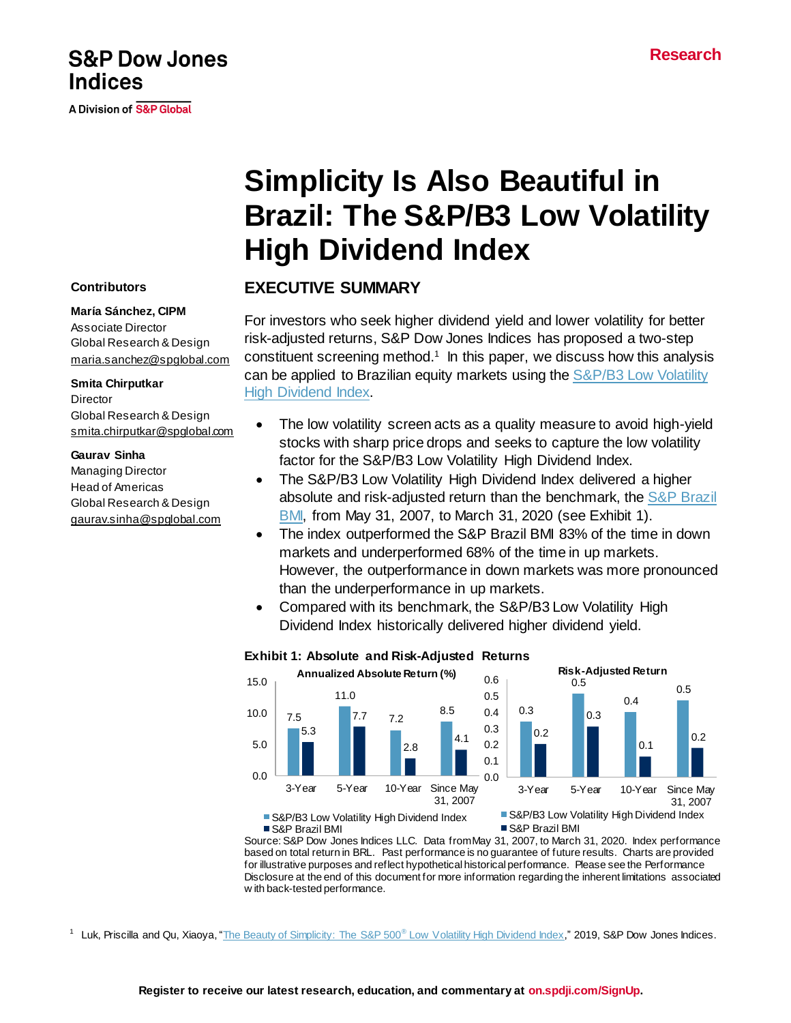# **S&P Dow Jones Indices**

A Division of S&P Global

# **Simplicity Is Also Beautiful in Brazil: The S&P/B3 Low Volatility High Dividend Index**

# **EXECUTIVE SUMMARY**

For investors who seek higher dividend yield and lower volatility for better risk-adjusted returns, S&P Dow Jones Indices has proposed a two-step constituent screening method. 1 In this paper, we discuss how this analysis can be applied to Brazilian equity markets using the S&P/B3 Low Volatility [High Dividend Index.](https://www.spglobal.com/spdji/en/indices/strategy/sp-b3-low-volatility-high-dividend-index/#overview)

- The low volatility screen acts as a quality measure to avoid high-yield stocks with sharp price drops and seeks to capture the low volatility factor for the S&P/B3 Low Volatility High Dividend Index.
- The S&P/B3 Low Volatility High Dividend Index delivered a higher absolute and risk-adjusted return than the benchmark, the S&P Brazil BMI, from May 31, 2007, to March 31, 2020 (see Exhibit 1).
- The index outperformed the S&P Brazil BMI 83% of the time in down markets and underperformed 68% of the time in up markets. However, the outperformance in down markets was more pronounced than the underperformance in up markets.
- Compared with its benchmark, the S&P/B3 Low Volatility High Dividend Index historically delivered higher dividend yield.

# **Exhibit 1: Absolute and Risk-Adjusted Returns**



■ S&P/B3 Low Volatility High Dividend Index S&P Brazil BMI

S&P Brazil BMI

Source: S&P Dow Jones Indices LLC. Data from May 31, 2007, to March 31, 2020. Index performance based on total return in BRL. Past performance is no guarantee of future results. Charts are provided for illustrative purposes and reflect hypothetical historical performance. Please see the Performance Disclosure at the end of this document for more information regarding the inherent limitations associated w ith back-tested performance.

<sup>1</sup> Luk, Priscilla and Qu, Xiaoya, ["The Beauty of Simplicity: The S&P 500](https://www.spglobal.com/spdji/en/documents/research/research-the-beauty-of-simplicity-the-sp-500-low-volatility-high-dividend-index.pdf)<sup>®</sup> Low Volatility High Dividend Index," 2019, S&P Dow Jones Indices.

# **Contributors**

#### **Marίa Sánchez, CIPM**

Associate Director Global Research & Design [maria.sanchez@spglobal.com](mailto:maria.sanchez@spglobal.com)

# **Smita Chirputkar**

**Director** Global Research & Design [smita.chirputkar@spglobal.com](mailto:smita.chirputkar@spglobal.com)

# **Gaurav Sinha**

Managing Director Head of Americas Global Research & Design [gaurav.sinha@spglobal.com](mailto:gaurav.sinha@spglobal.com)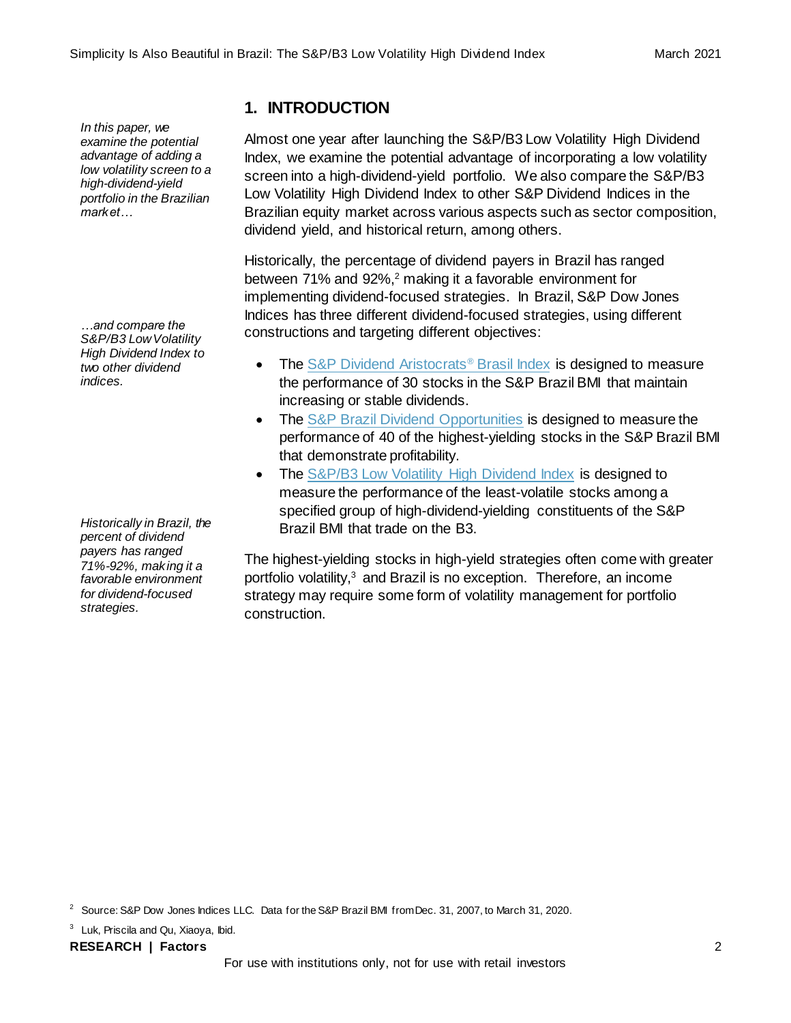*In this paper, we examine the potential advantage of adding a low volatility screen to a high-dividend-yield portfolio in the Brazilian market…*

*…and compare the S&P/B3 Low Volatility High Dividend Index to two other dividend indices.*

*Historically in Brazil, the percent of dividend payers has ranged 71%-92%, making it a favorable environment for dividend-focused strategies.*

# **1. INTRODUCTION**

Almost one year after launching the S&P/B3 Low Volatility High Dividend Index, we examine the potential advantage of incorporating a low volatility screen into a high-dividend-yield portfolio. We also compare the S&P/B3 Low Volatility High Dividend Index to other S&P Dividend Indices in the Brazilian equity market across various aspects such as sector composition, dividend yield, and historical return, among others.

Historically, the percentage of dividend payers in Brazil has ranged between 71% and 92%, <sup>2</sup> making it a favorable environment for implementing dividend-focused strategies. In Brazil, S&P Dow Jones Indices has three different dividend-focused strategies, using different constructions and targeting different objectives:

- The [S&P Dividend Aristocrats](https://www.spglobal.com/spdji/en/indices/strategy/sp-dividend-aristocrats-brasil-index/#overview)® Brasil Index is designed to measure the performance of 30 stocks in the S&P Brazil BMI that maintain increasing or stable dividends.
- The [S&P Brazil Dividend Opportunities](https://www.spglobal.com/spdji/en/indices/strategy/sp-brazil-dividend-opportunities/#overview) is designed to measure the performance of 40 of the highest-yielding stocks in the S&P Brazil BMI that demonstrate profitability.
- The [S&P/B3 Low Volatility High Dividend Index](https://www.spglobal.com/spdji/en/indices/strategy/sp-b3-low-volatility-high-dividend-index/#overview) is designed to measure the performance of the least-volatile stocks among a specified group of high-dividend-yielding constituents of the S&P Brazil BMI that trade on the B3.

The highest-yielding stocks in high-yield strategies often come with greater portfolio volatility, <sup>3</sup> and Brazil is no exception. Therefore, an income strategy may require some form of volatility management for portfolio construction.

<sup>3</sup> Luk, Priscila and Qu, Xiaoya, Ibid.

**RESEARCH | Factors** 2

<sup>&</sup>lt;sup>2</sup> Source: S&P Dow Jones Indices LLC. Data for the S&P Brazil BMI from Dec. 31, 2007, to March 31, 2020.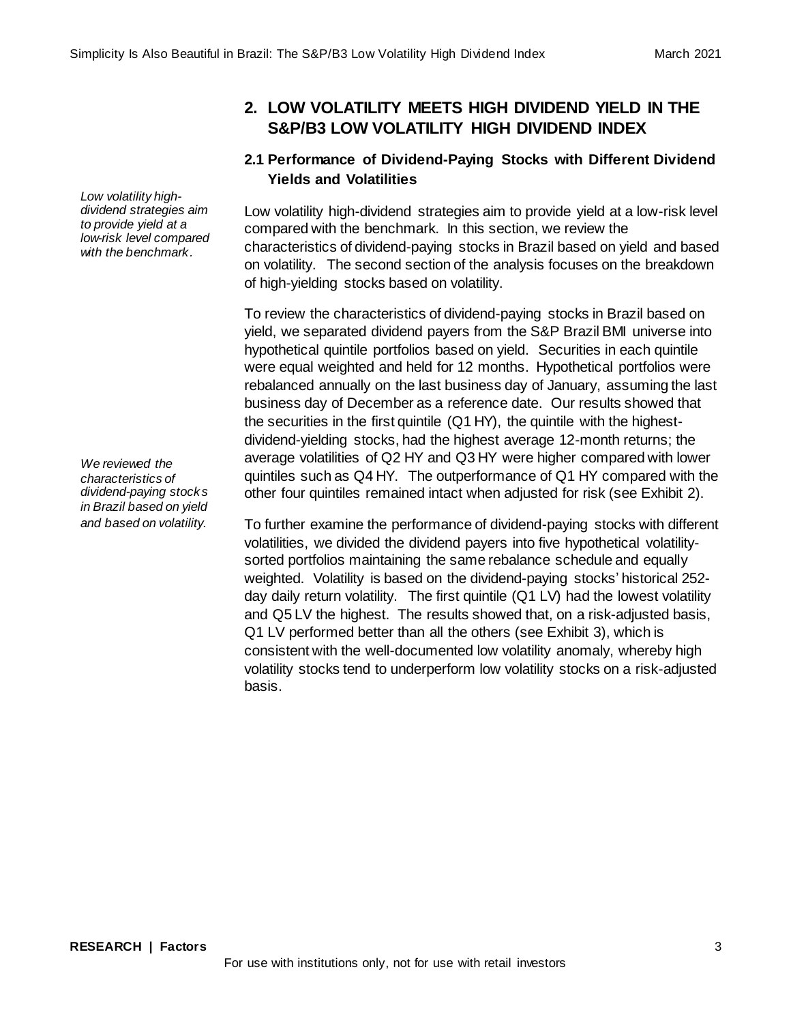**2. LOW VOLATILITY MEETS HIGH DIVIDEND YIELD IN THE S&P/B3 LOW VOLATILITY HIGH DIVIDEND INDEX**

# **2.1 Performance of Dividend-Paying Stocks with Different Dividend Yields and Volatilities**

Low volatility high-dividend strategies aim to provide yield at a low-risk level compared with the benchmark. In this section, we review the characteristics of dividend-paying stocks in Brazil based on yield and based on volatility. The second section of the analysis focuses on the breakdown of high-yielding stocks based on volatility.

To review the characteristics of dividend-paying stocks in Brazil based on yield, we separated dividend payers from the S&P Brazil BMI universe into hypothetical quintile portfolios based on yield. Securities in each quintile were equal weighted and held for 12 months. Hypothetical portfolios were rebalanced annually on the last business day of January, assuming the last business day of December as a reference date. Our results showed that the securities in the first quintile (Q1 HY), the quintile with the highestdividend-yielding stocks, had the highest average 12-month returns; the average volatilities of Q2 HY and Q3 HY were higher compared with lower quintiles such as Q4 HY. The outperformance of Q1 HY compared with the other four quintiles remained intact when adjusted for risk (see Exhibit 2).

To further examine the performance of dividend-paying stocks with different volatilities, we divided the dividend payers into five hypothetical volatilitysorted portfolios maintaining the same rebalance schedule and equally weighted. Volatility is based on the dividend-paying stocks' historical 252 day daily return volatility. The first quintile (Q1 LV) had the lowest volatility and Q5 LV the highest. The results showed that, on a risk-adjusted basis, Q1 LV performed better than all the others (see Exhibit 3), which is consistent with the well-documented low volatility anomaly, whereby high volatility stocks tend to underperform low volatility stocks on a risk-adjusted basis.

*Low volatility highdividend strategies aim to provide yield at a low-risk level compared with the benchmark.*

*We reviewed the characteristics of dividend-paying stocks in Brazil based on yield and based on volatility.*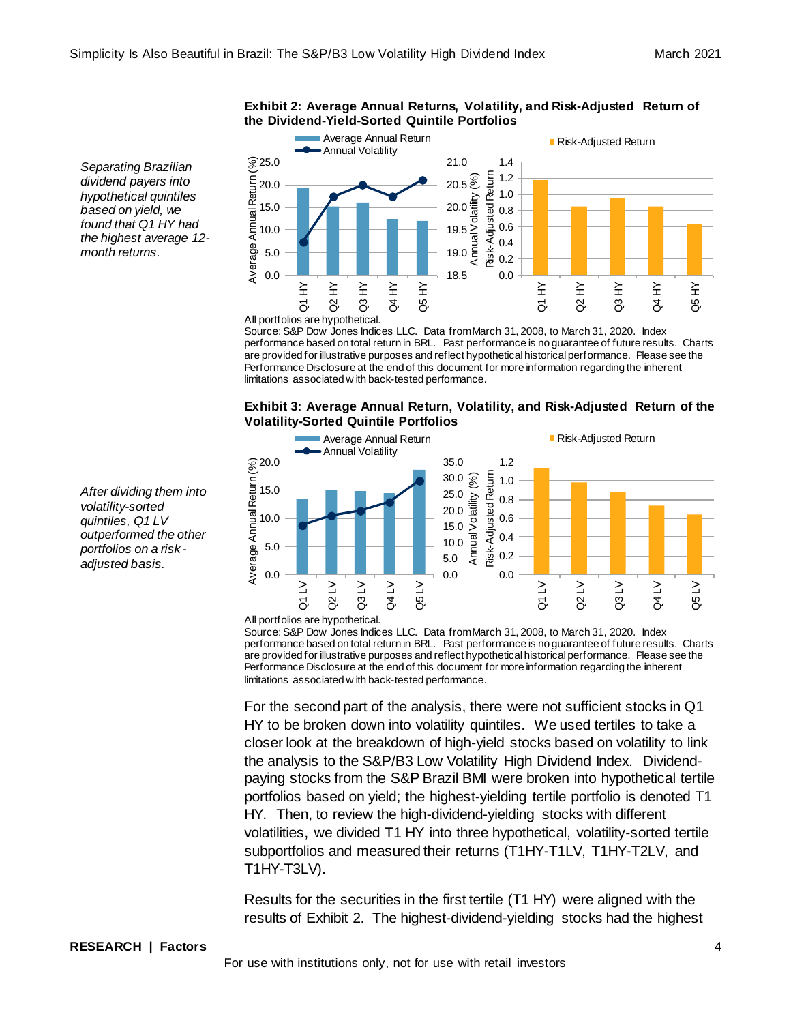#### **Exhibit 2: Average Annual Returns, Volatility, and Risk-Adjusted Return of the Dividend-Yield-Sorted Quintile Portfolios**

Average Annual Return ■ Risk-Adjusted Return - Annual Volatility  $\widehat{\otimes}$  25.0 21.0 1.4 Average Annual Return (%) Risk-Adjusted Return Risk-Adjusted Return 1.2  $20.5<sup>2</sup>$ Annual Volatility (%) Average Annual Return 20.0 1.0 15.0 20.0 0.8 0.6 10.0 19.5 0.4 5.0 19.0 0.2 0.0 0.0 18.5 Q4 HY Q1 HY Q2 HY Q3 HY Q5 HY Q1 HY Q2 HY Q3 HY Q4 HY Q5 HY All portfolios are hypothetical.

Source: S&P Dow Jones Indices LLC. Data from March 31, 2008, to March 31, 2020. Index performance based on total return in BRL. Past performance is no guarantee of future results. Charts are provided for illustrative purposes and reflect hypothetical historical performance. Please see the Performance Disclosure at the end of this document for more information regarding the inherent limitations associated w ith back-tested performance.





Source: S&P Dow Jones Indices LLC. Data from March 31, 2008, to March 31, 2020. Index performance based on total return in BRL. Past performance is no guarantee of future results. Charts are provided for illustrative purposes and reflect hypothetical historical performance. Please see the Performance Disclosure at the end of this document for more information regarding the inherent limitations associated w ith back-tested performance.

For the second part of the analysis, there were not sufficient stocks in Q1 HY to be broken down into volatility quintiles. We used tertiles to take a closer look at the breakdown of high-yield stocks based on volatility to link the analysis to the S&P/B3 Low Volatility High Dividend Index. Dividendpaying stocks from the S&P Brazil BMI were broken into hypothetical tertile portfolios based on yield; the highest-yielding tertile portfolio is denoted T1 HY. Then, to review the high-dividend-yielding stocks with different volatilities, we divided T1 HY into three hypothetical, volatility-sorted tertile subportfolios and measured their returns (T1HY-T1LV, T1HY-T2LV, and T1HY-T3LV).

Results for the securities in the first tertile (T1 HY) were aligned with the results of Exhibit 2. The highest-dividend-yielding stocks had the highest

*Separating Brazilian dividend payers into hypothetical quintiles based on yield, we found that Q1 HY had the highest average 12 month returns.* 

*After dividing them into volatility-sorted quintiles, Q1 LV outperformed the other portfolios on a risk adjusted basis.*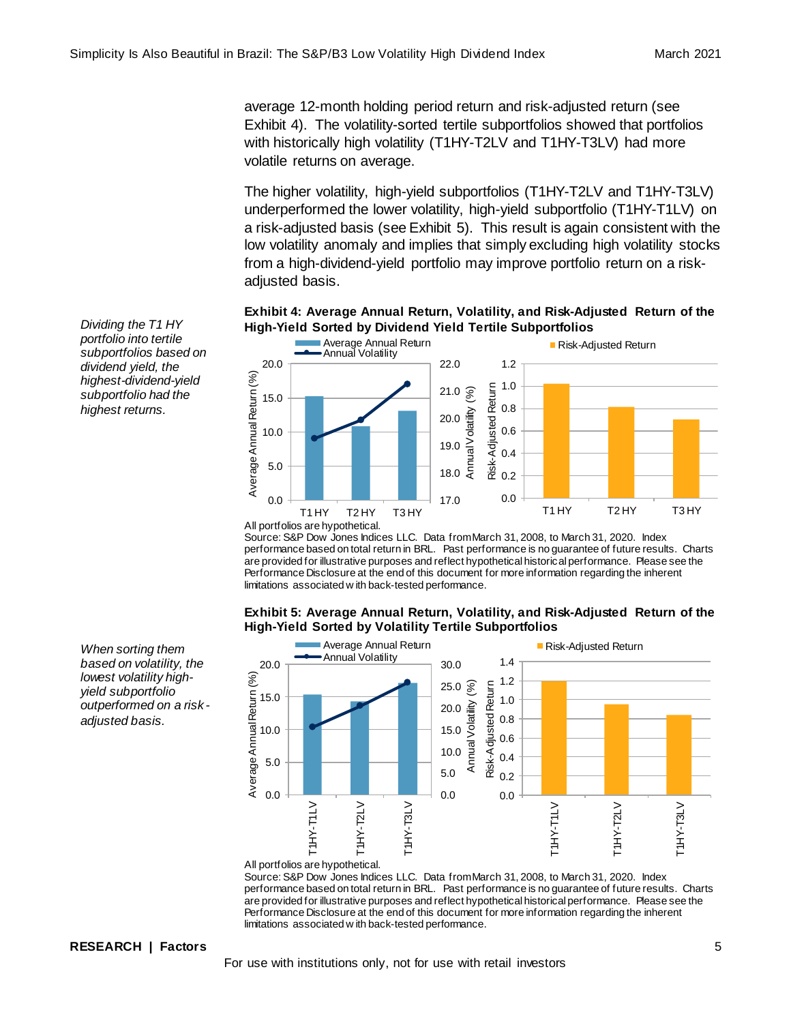average 12-month holding period return and risk-adjusted return (see Exhibit 4). The volatility-sorted tertile subportfolios showed that portfolios with historically high volatility (T1HY-T2LV and T1HY-T3LV) had more volatile returns on average.

The higher volatility, high-yield subportfolios (T1HY-T2LV and T1HY-T3LV) underperformed the lower volatility, high-yield subportfolio (T1HY-T1LV) on a risk-adjusted basis (see Exhibit 5). This result is again consistent with the low volatility anomaly and implies that simply excluding high volatility stocks from a high-dividend-yield portfolio may improve portfolio return on a riskadjusted basis.

# **Exhibit 4: Average Annual Return, Volatility, and Risk-Adjusted Return of the High-Yield Sorted by Dividend Yield Tertile Subportfolios**



Source: S&P Dow Jones Indices LLC. Data from March 31, 2008, to March 31, 2020. Index performance based on total return in BRL. Past performance is no guarantee of future results. Charts are provided for illustrative purposes and reflect hypothetical historical performance. Please see the Performance Disclosure at the end of this document for more information regarding the inherent limitations associated w ith back-tested performance.

#### **Exhibit 5: Average Annual Return, Volatility, and Risk-Adjusted Return of the High-Yield Sorted by Volatility Tertile Subportfolios**



All portfolios are hypothetical. Source: S&P Dow Jones Indices LLC. Data from March 31, 2008, to March 31, 2020. Index performance based on total return in BRL. Past performance is no guarantee of future results. Charts are provided for illustrative purposes and reflect hypothetical historical performance. Please see the Performance Disclosure at the end of this document for more information regarding the inherent limitations associated w ith back-tested performance.

*Dividing the T1 HY portfolio into tertile subportfolios based on dividend yield, the highest-dividend-yield subportfolio had the highest returns.* 

*When sorting them based on volatility, the lowest volatility highyield subportfolio outperformed on a risk adjusted basis.*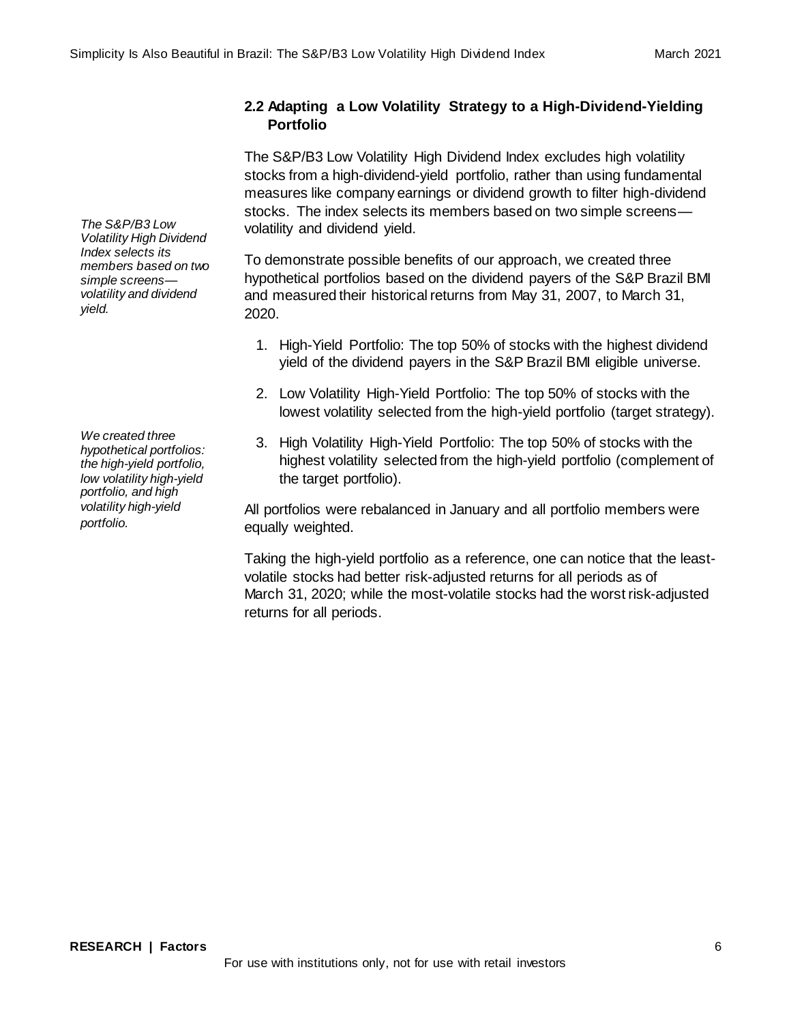# **2.2 Adapting a Low Volatility Strategy to a High-Dividend-Yielding Portfolio**

The S&P/B3 Low Volatility High Dividend Index excludes high volatility stocks from a high-dividend-yield portfolio, rather than using fundamental measures like company earnings or dividend growth to filter high-dividend stocks. The index selects its members based on two simple screens volatility and dividend yield.

To demonstrate possible benefits of our approach, we created three hypothetical portfolios based on the dividend payers of the S&P Brazil BMI and measured their historical returns from May 31, 2007, to March 31, 2020.

- 1. High-Yield Portfolio: The top 50% of stocks with the highest dividend yield of the dividend payers in the S&P Brazil BMI eligible universe.
- 2. Low Volatility High-Yield Portfolio: The top 50% of stocks with the lowest volatility selected from the high-yield portfolio (target strategy).
- 3. High Volatility High-Yield Portfolio: The top 50% of stocks with the highest volatility selected from the high-yield portfolio (complement of the target portfolio).

All portfolios were rebalanced in January and all portfolio members were equally weighted.

Taking the high-yield portfolio as a reference, one can notice that the leastvolatile stocks had better risk-adjusted returns for all periods as of March 31, 2020; while the most-volatile stocks had the worst risk-adjusted returns for all periods.

*The S&P/B3 Low Volatility High Dividend Index selects its members based on two simple screens volatility and dividend yield.*

*We created three hypothetical portfolios: the high-yield portfolio, low volatility high-yield portfolio, and high volatility high-yield portfolio.*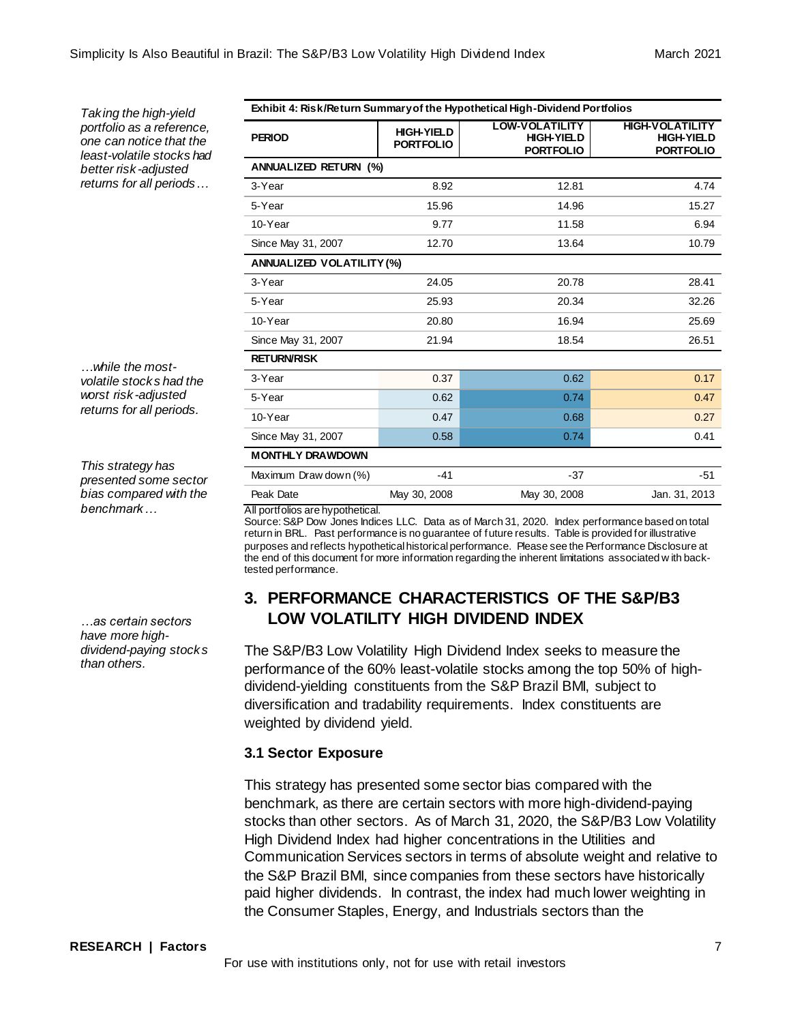**PERIOD HIGH-YIELD**

**HIGH-VOLATILITY HIGH-YIELD PORTFOLIO**

*Taking the high-yield portfolio as a reference, one can notice that the least-volatile stocks had better risk -adjusted returns for all periods…*

*…while the mostvolatile stocks had the worst risk -adjusted returns for all periods.*

*This strategy has presented some sector bias compared with the benchmark…*

*…as certain sectors have more highdividend-paying stocks than others.* 

|                                  |       | טובע וויט ו | טובט ו ויוט ו |
|----------------------------------|-------|-------------|---------------|
| <b>ANNUALIZED RETURN (%)</b>     |       |             |               |
| 3-Year                           | 8.92  | 12.81       | 4.74          |
| 5-Year                           | 15.96 | 14.96       | 15.27         |
| 10-Year                          | 9.77  | 11.58       | 6.94          |
| Since May 31, 2007               | 12.70 | 13.64       | 10.79         |
| <b>ANNUALIZED VOLATILITY (%)</b> |       |             |               |
| 3-Year                           | 24.05 | 20.78       | 28.41         |
| 5-Year                           | 25.93 | 20.34       | 32.26         |
| 10-Year                          | 20.80 | 16.94       | 25.69         |
| Since May 31, 2007               | 21.94 | 18.54       | 26.51         |
| <b>RETURN/RISK</b>               |       |             |               |
| 3-Year                           | 0.37  | 0.62        | 0.17          |
| 5-Year                           | 0.62  | 0.74        | 0.47          |
| 10-Year                          | 0.47  | 0.68        | 0.27          |

**Exhibit 4: Risk/Return Summary of the Hypothetical High-Dividend Portfolios**

**LOW-VOLATILITY HIGH-YIELD PORTFOLIO**

**PORTFOLIO**

All portfolios are hypothetical.

**MONTHLY DRAWDOWN**

Source: S&P Dow Jones Indices LLC. Data as of March 31, 2020. Index performance based on total return in BRL. Past performance is no guarantee of future results. Table is provided for illustrative purposes and reflects hypothetical historical performance. Please see the Performance Disclosure at the end of this document for more information regarding the inherent limitations associated w ith backtested performance.

Since May 31, 2007 0.58 0.58 0.74 0.41 0.41

Maximum Draw down (%) -41 - 37 -51 -51 Peak Date May 30, 2008 May 30, 2008 Jan. 31, 2013

# **3. PERFORMANCE CHARACTERISTICS OF THE S&P/B3 LOW VOLATILITY HIGH DIVIDEND INDEX**

The S&P/B3 Low Volatility High Dividend Index seeks to measure the performance of the 60% least-volatile stocks among the top 50% of highdividend-yielding constituents from the S&P Brazil BMI, subject to diversification and tradability requirements. Index constituents are weighted by dividend yield.

# **3.1 Sector Exposure**

This strategy has presented some sector bias compared with the benchmark, as there are certain sectors with more high-dividend-paying stocks than other sectors. As of March 31, 2020, the S&P/B3 Low Volatility High Dividend Index had higher concentrations in the Utilities and Communication Services sectors in terms of absolute weight and relative to the S&P Brazil BMI, since companies from these sectors have historically paid higher dividends. In contrast, the index had much lower weighting in the Consumer Staples, Energy, and Industrials sectors than the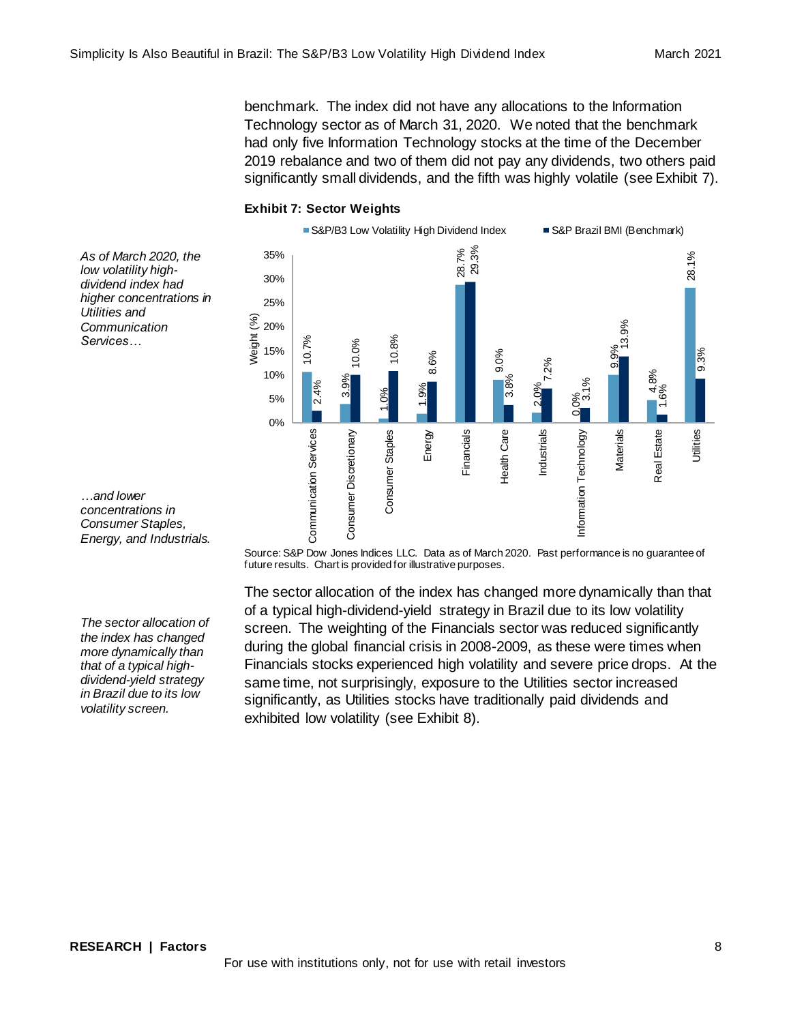benchmark. The index did not have any allocations to the Information Technology sector as of March 31, 2020. We noted that the benchmark had only five Information Technology stocks at the time of the December 2019 rebalance and two of them did not pay any dividends, two others paid significantly small dividends, and the fifth was highly volatile (see Exhibit 7).

# **Exhibit 7: Sector Weights**

Weight (%)



*As of March 2020, the low volatility highdividend index had higher concentrations in Utilities and Communication Services…*

*…and lower concentrations in Consumer Staples, Energy, and Industrials.* 

*The sector allocation of the index has changed more dynamically than that of a typical highdividend-yield strategy in Brazil due to its low volatility screen.*

Source: S&P Dow Jones Indices LLC. Data as of March 2020. Past performance is no guarantee of future results. Chart is provided for illustrative purposes.

The sector allocation of the index has changed more dynamically than that of a typical high-dividend-yield strategy in Brazil due to its low volatility screen. The weighting of the Financials sector was reduced significantly during the global financial crisis in 2008-2009, as these were times when Financials stocks experienced high volatility and severe price drops. At the same time, not surprisingly, exposure to the Utilities sector increased significantly, as Utilities stocks have traditionally paid dividends and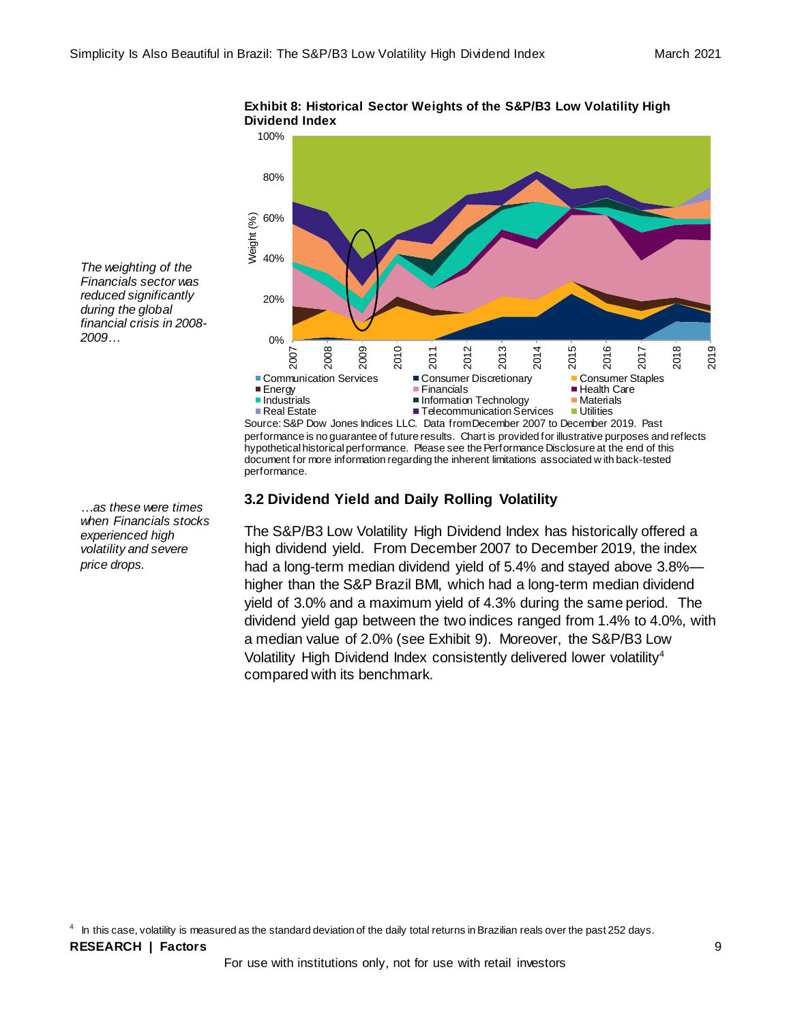performance.



#### **Exhibit 8: Historical Sector Weights of the S&P/B3 Low Volatility High Dividend Index**

**3.2 Dividend Yield and Daily Rolling Volatility**

The S&P/B3 Low Volatility High Dividend Index has historically offered a high dividend yield. From December 2007 to December 2019, the index had a long-term median dividend yield of 5.4% and stayed above 3.8% higher than the S&P Brazil BMI, which had a long-term median dividend yield of 3.0% and a maximum yield of 4.3% during the same period. The dividend yield gap between the two indices ranged from 1.4% to 4.0%, with a median value of 2.0% (see Exhibit 9). Moreover, the S&P/B3 Low Volatility High Dividend Index consistently delivered lower volatility<sup>4</sup> compared with its benchmark.

 $^4$  In this case, volatility is measured as the standard deviation of the daily total returns in Brazilian reals over the past 252 days.

*…as these were times when Financials stocks experienced high volatility and severe price drops.*

*The weighting of the Financials sector was reduced significantly during the global financial crisis in 2008-*

*2009…*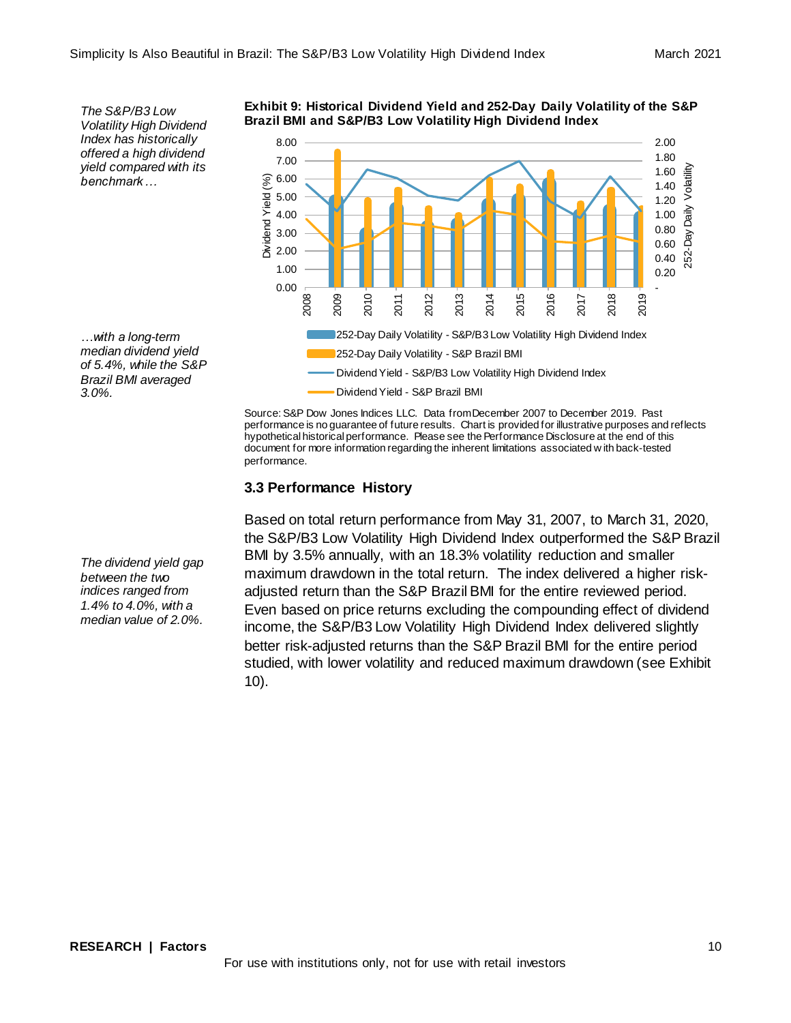*The S&P/B3 Low Volatility High Dividend Index has historically offered a high dividend yield compared with its benchmark…*

*…with a long-term median dividend yield of 5.4%, while the S&P Brazil BMI averaged 3.0%.* 

*The dividend yield gap between the two indices ranged from 1.4% to 4.0%, with a median value of 2.0%.*

**Exhibit 9: Historical Dividend Yield and 252-Day Daily Volatility of the S&P Brazil BMI and S&P/B3 Low Volatility High Dividend Index**



Source: S&P Dow Jones Indices LLC. Data from December 2007 to December 2019. Past performance is no guarantee of future results. Chart is provided for illustrative purposes and reflects hypothetical historical performance. Please see the Performance Disclosure at the end of this document for more information regarding the inherent limitations associated w ith back-tested performance.

# **3.3 Performance History**

Based on total return performance from May 31, 2007, to March 31, 2020, the S&P/B3 Low Volatility High Dividend Index outperformed the S&P Brazil BMI by 3.5% annually, with an 18.3% volatility reduction and smaller maximum drawdown in the total return. The index delivered a higher riskadjusted return than the S&P Brazil BMI for the entire reviewed period. Even based on price returns excluding the compounding effect of dividend income, the S&P/B3 Low Volatility High Dividend Index delivered slightly better risk-adjusted returns than the S&P Brazil BMI for the entire period studied, with lower volatility and reduced maximum drawdown (see Exhibit 10).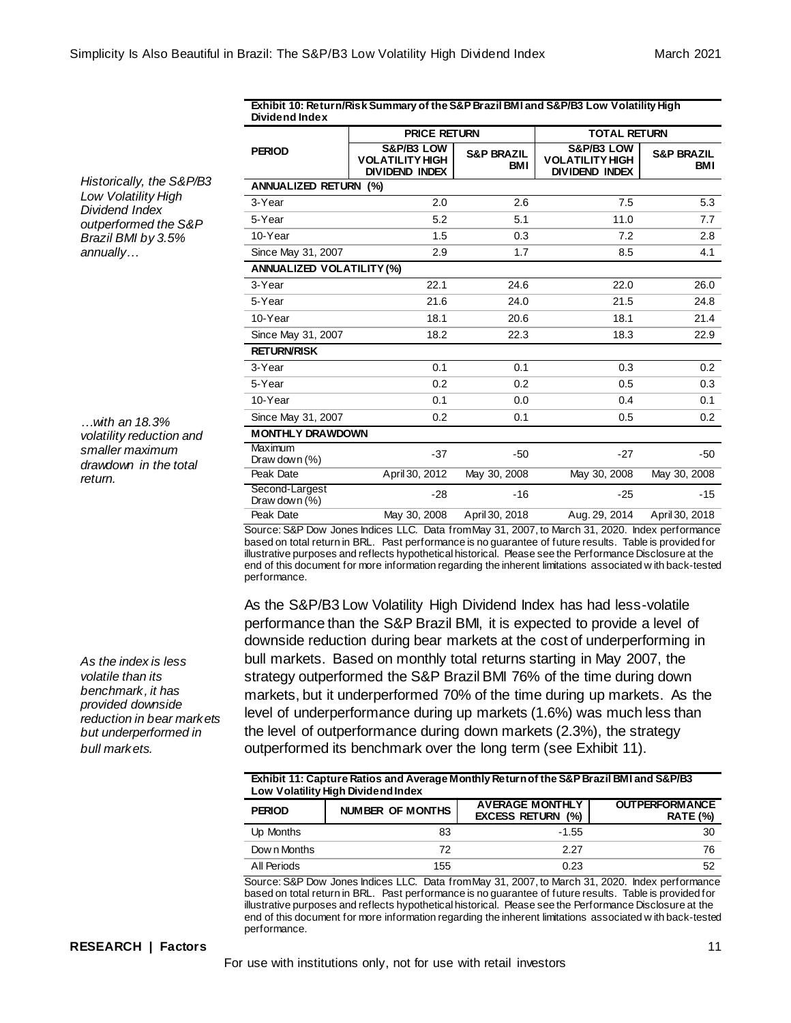| Exhibit 10: Return/Risk Summary of the S&P Brazil BMI and S&P/B3 Low Volatility High |  |
|--------------------------------------------------------------------------------------|--|
| <b>Dividend Index</b>                                                                |  |

|                                    | <b>PRICE RETURN</b>                                           |                              | <b>TOTAL RETURN</b>                                           |                              |
|------------------------------------|---------------------------------------------------------------|------------------------------|---------------------------------------------------------------|------------------------------|
| <b>PERIOD</b>                      | S&P/B3 LOW<br><b>VOLATILITY HIGH</b><br><b>DIVIDEND INDEX</b> | <b>S&amp;P BRAZIL</b><br>BMI | S&P/B3 LOW<br><b>VOLATILITY HIGH</b><br><b>DIVIDEND INDEX</b> | <b>S&amp;P BRAZIL</b><br>BMI |
| <b>ANNUALIZED RETURN (%)</b>       |                                                               |                              |                                                               |                              |
| 3-Year                             | 2.0                                                           | 2.6                          | 7.5                                                           | 5.3                          |
| 5-Year                             | 5.2                                                           | 5.1                          | 11.0                                                          | 7.7                          |
| 10-Year                            | 1.5                                                           | 0.3                          | 7.2                                                           | 2.8                          |
| Since May 31, 2007                 | 2.9                                                           | 1.7                          | 8.5                                                           | 4.1                          |
| <b>ANNUALIZED VOLATILITY (%)</b>   |                                                               |                              |                                                               |                              |
| 3-Year                             | 22.1                                                          | 24.6                         | 22.0                                                          | 26.0                         |
| 5-Year                             | 21.6                                                          | 24.0                         | 21.5                                                          | 24.8                         |
| 10-Year                            | 18.1                                                          | 20.6                         | 18.1                                                          | 21.4                         |
| Since May 31, 2007                 | 18.2                                                          | 22.3                         | 18.3                                                          | 22.9                         |
| <b>RETURN/RISK</b>                 |                                                               |                              |                                                               |                              |
| 3-Year                             | 0.1                                                           | 0.1                          | 0.3                                                           | 0.2                          |
| 5-Year                             | 0.2                                                           | 0.2                          | 0.5                                                           | 0.3                          |
| 10-Year                            | 0.1                                                           | 0.0                          | 0.4                                                           | 0.1                          |
| Since May 31, 2007                 | 0.2                                                           | 0.1                          | 0.5                                                           | 0.2                          |
| <b>MONTHLY DRAWDOWN</b>            |                                                               |                              |                                                               |                              |
| Maximum<br>Draw down $(\%)$        | $-37$                                                         | $-50$                        | $-27$                                                         | $-50$                        |
| Peak Date                          | April 30, 2012                                                | May 30, 2008                 | May 30, 2008                                                  | May 30, 2008                 |
| Second-Largest<br>Draw down $(\%)$ | $-28$                                                         | $-16$                        | $-25$                                                         | $-15$                        |
| Peak Date                          | May 30, 2008                                                  | April 30, 2018               | Aug. 29, 2014                                                 | April 30, 2018               |

Source: S&P Dow Jones Indices LLC. Data from May 31, 2007, to March 31, 2020. Index performance based on total return in BRL. Past performance is no guarantee of future results. Table is provided for illustrative purposes and reflects hypothetical historical. Please see the Performance Disclosure at the end of this document for more information regarding the inherent limitations associated w ith back-tested performance.

As the S&P/B3 Low Volatility High Dividend Index has had less-volatile performance than the S&P Brazil BMI, it is expected to provide a level of downside reduction during bear markets at the cost of underperforming in bull markets. Based on monthly total returns starting in May 2007, the strategy outperformed the S&P Brazil BMI 76% of the time during down markets, but it underperformed 70% of the time during up markets. As the level of underperformance during up markets (1.6%) was much less than the level of outperformance during down markets (2.3%), the strategy outperformed its benchmark over the long term (see Exhibit 11).

**Exhibit 11: Capture Ratios and Average Monthly Return of the S&P Brazil BMI and S&P/B3 Low Volatility High Dividend Index**

| <b>PERIOD</b> | NUMBER OF MONTHS | <b>AVERAGE MONTHLY</b><br><b>EXCESS RETURN (%)</b> | <b>OUTPERFORM ANCE</b><br><b>RATE (%)</b> |
|---------------|------------------|----------------------------------------------------|-------------------------------------------|
| Up Months     | 83               | $-1.55$                                            | 30                                        |
| Down Months   | 72               | 2.27                                               | 76                                        |
| All Periods   | 155              | 0.23                                               | 52                                        |

Source: S&P Dow Jones Indices LLC. Data from May 31, 2007, to March 31, 2020. Index performance based on total return in BRL. Past performance is no guarantee of future results. Table is provided for illustrative purposes and reflects hypothetical historical. Please see the Performance Disclosure at the end of this document for more information regarding the inherent limitations associated w ith back-tested performance.

#### *Historically, the S&P/B3 Low Volatility High Dividend Index outperformed the S&P Brazil BMI by 3.5% annually…*

*…with an 18.3% volatility reduction and smaller maximum drawdown in the total return.*

*As the index is less volatile than its benchmark, it has provided downside reduction in bear markets but underperformed in bull markets.*

#### **RESEARCH | Factors** 11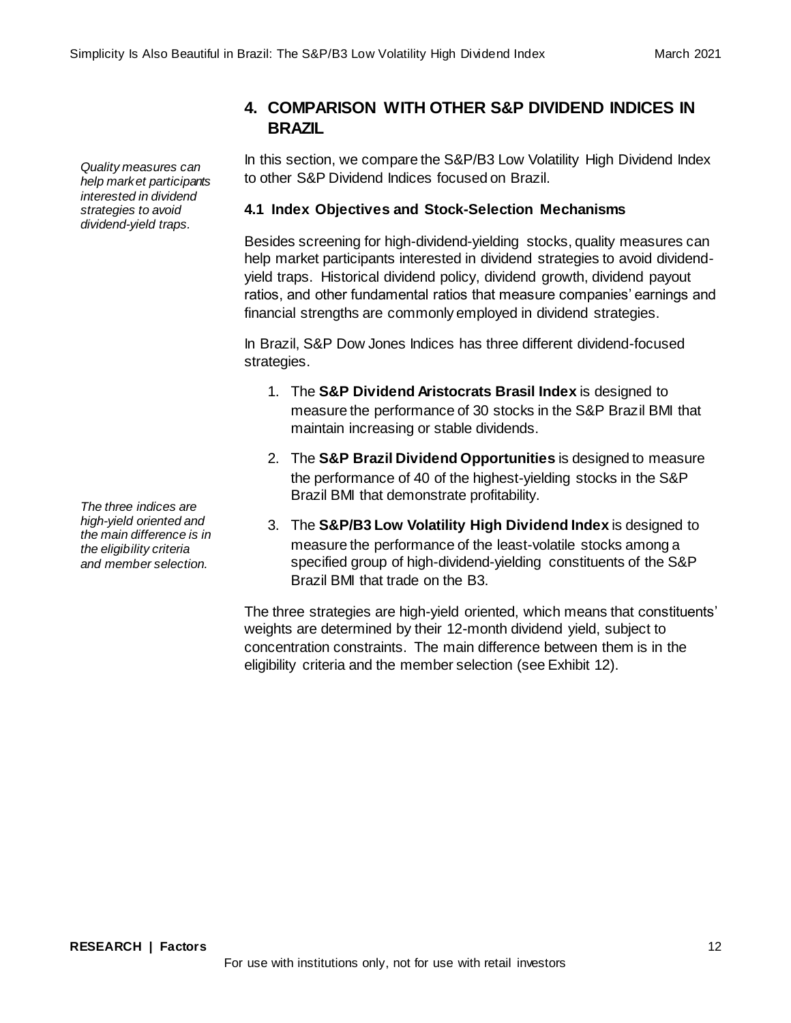*Quality measures can help market participants interested in dividend strategies to avoid dividend-yield traps.*

*The three indices are high-yield oriented and the main difference is in the eligibility criteria and member selection.*

**4. COMPARISON WITH OTHER S&P DIVIDEND INDICES IN BRAZIL**

In this section, we compare the S&P/B3 Low Volatility High Dividend Index to other S&P Dividend Indices focused on Brazil.

# **4.1 Index Objectives and Stock-Selection Mechanisms**

Besides screening for high-dividend-yielding stocks, quality measures can help market participants interested in dividend strategies to avoid dividendyield traps. Historical dividend policy, dividend growth, dividend payout ratios, and other fundamental ratios that measure companies' earnings and financial strengths are commonly employed in dividend strategies.

In Brazil, S&P Dow Jones Indices has three different dividend-focused strategies.

- 1. The **S&P Dividend Aristocrats Brasil Index** is designed to measure the performance of 30 stocks in the S&P Brazil BMI that maintain increasing or stable dividends.
- 2. The **S&P Brazil Dividend Opportunities** is designed to measure the performance of 40 of the highest-yielding stocks in the S&P Brazil BMI that demonstrate profitability.
- 3. The **S&P/B3 Low Volatility High Dividend Index** is designed to measure the performance of the least-volatile stocks among a specified group of high-dividend-yielding constituents of the S&P Brazil BMI that trade on the B3.

The three strategies are high-yield oriented, which means that constituents' weights are determined by their 12-month dividend yield, subject to concentration constraints. The main difference between them is in the eligibility criteria and the member selection (see Exhibit 12).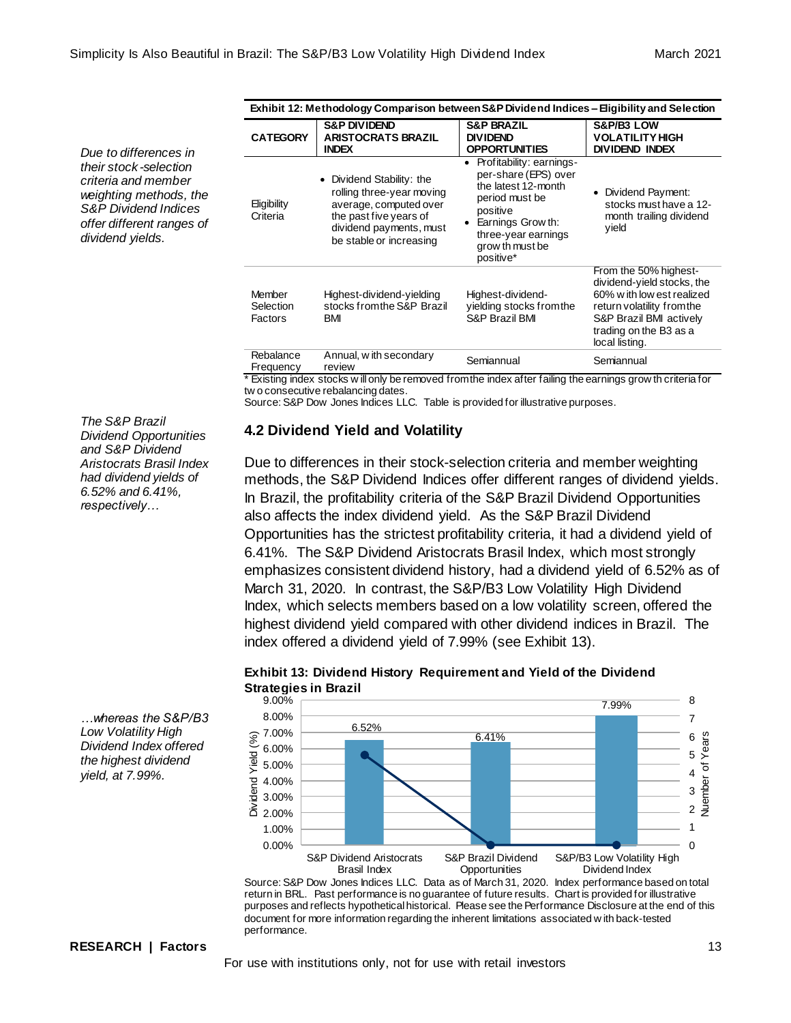*Due to differences in their stock -selection criteria and member weighting methods, the S&P Dividend Indices offer different ranges of dividend yields.*

*The S&P Brazil Dividend Opportunities and S&P Dividend Aristocrats Brasil Index had dividend yields of 6.52% and 6.41%, respectively…*

| Exhibit 12: Methodology Comparison between S&P Dividend Indices – Eligibility and Selection |                                                                                                                                                                  |                                                                                                                                                                                   |                                                                                                                                                                                        |
|---------------------------------------------------------------------------------------------|------------------------------------------------------------------------------------------------------------------------------------------------------------------|-----------------------------------------------------------------------------------------------------------------------------------------------------------------------------------|----------------------------------------------------------------------------------------------------------------------------------------------------------------------------------------|
| <b>CATEGORY</b>                                                                             | <b>S&amp;P DIVIDEND</b><br><b>ARISTOCRATS BRAZIL</b><br><b>INDEX</b>                                                                                             | <b>S&amp;P BRAZIL</b><br><b>DIVIDEND</b><br><b>OPPORTUNITIES</b>                                                                                                                  | S&P/B3 LOW<br><b>VOLATILITY HIGH</b><br><b>DIVIDEND INDEX</b>                                                                                                                          |
| Eligibility<br>Criteria                                                                     | • Dividend Stability: the<br>rolling three-year moving<br>average, computed over<br>the past five years of<br>dividend payments, must<br>be stable or increasing | Profitability: earnings-<br>per-share (EPS) over<br>the latest 12-month<br>period must be<br>positive<br>Earnings Grow th:<br>three-year earnings<br>grow th must be<br>positive* | Dividend Payment:<br>stocks must have a 12-<br>month trailing dividend<br>yield                                                                                                        |
| Member<br>Selection<br>Factors                                                              | Highest-dividend-yielding<br>stocks from the S&P Brazil<br>BM                                                                                                    | Highest-dividend-<br>yielding stocks from the<br>S&P Brazil BMI                                                                                                                   | From the 50% highest-<br>dividend-yield stocks, the<br>60% w ith low est realized<br>return volatility from the<br>S&P Brazil BMI actively<br>trading on the B3 as a<br>local listing. |
| Rebalance<br>Frequency                                                                      | Annual, with secondary<br>review                                                                                                                                 | Semiannual                                                                                                                                                                        | Semiannual                                                                                                                                                                             |

\* Existing index stocks w ill only be removed from the index after failing the earnings grow th criteria for tw o consecutive rebalancing dates.

Source: S&P Dow Jones Indices LLC. Table is provided for illustrative purposes.

# **4.2 Dividend Yield and Volatility**

Due to differences in their stock-selection criteria and member weighting methods, the S&P Dividend Indices offer different ranges of dividend yields. In Brazil, the profitability criteria of the S&P Brazil Dividend Opportunities also affects the index dividend yield. As the S&P Brazil Dividend Opportunities has the strictest profitability criteria, it had a dividend yield of 6.41%. The S&P Dividend Aristocrats Brasil Index, which most strongly emphasizes consistent dividend history, had a dividend yield of 6.52% as of March 31, 2020. In contrast, the S&P/B3 Low Volatility High Dividend Index, which selects members based on a low volatility screen, offered the highest dividend yield compared with other dividend indices in Brazil. The index offered a dividend yield of 7.99% (see Exhibit 13).

![](_page_12_Figure_8.jpeg)

### **Exhibit 13: Dividend History Requirement and Yield of the Dividend Strategies in Brazil**

Source: S&P Dow Jones Indices LLC. Data as of March 31, 2020. Index performance based on total return in BRL. Past performance is no guarantee of future results. Chart is provided for illustrative purposes and reflects hypothetical historical. Please see the Performance Disclosure at the end of this document for more information regarding the inherent limitations associated w ith back-tested performance.

*…whereas the S&P/B3 Low Volatility High Dividend Index offered the highest dividend yield, at 7.99%.*

#### **RESEARCH | Factors** 13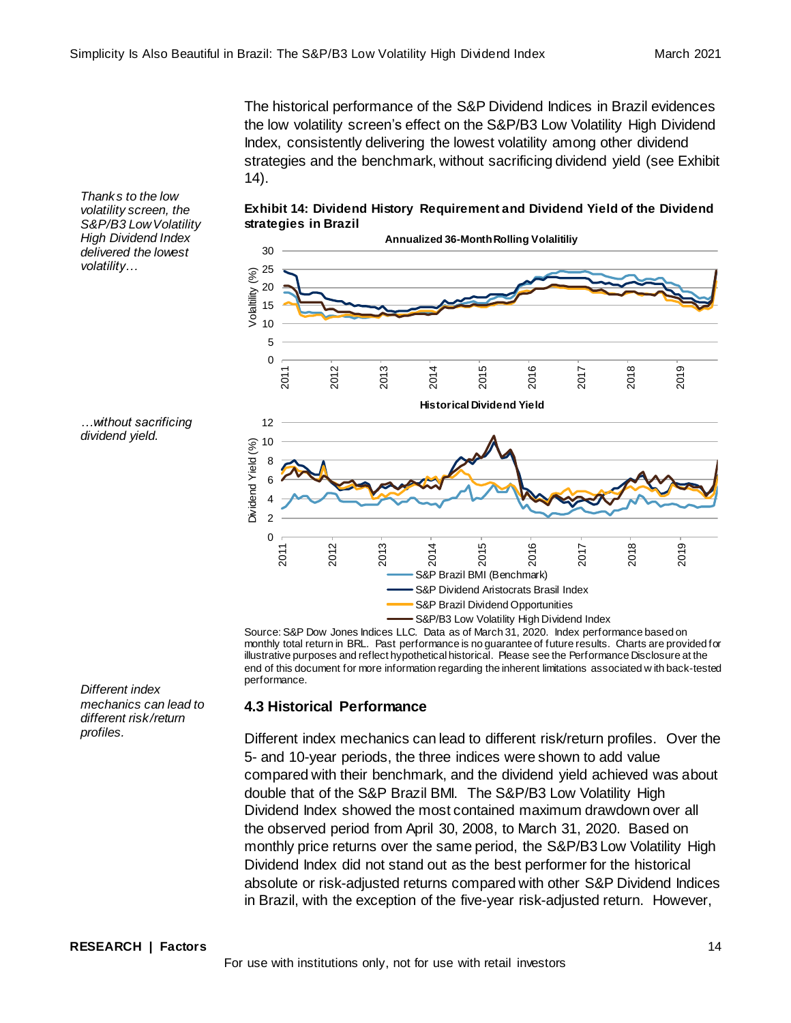The historical performance of the S&P Dividend Indices in Brazil evidences the low volatility screen's effect on the S&P/B3 Low Volatility High Dividend Index, consistently delivering the lowest volatility among other dividend strategies and the benchmark, without sacrificing dividend yield (see Exhibit 14).

**Exhibit 14: Dividend History Requirement and Dividend Yield of the Dividend strategies in Brazil**

![](_page_13_Figure_4.jpeg)

Source: S&P Dow Jones Indices LLC. Data as of March 31, 2020. Index performance based on monthly total return in BRL. Past performance is no guarantee of future results. Charts are provided for illustrative purposes and reflect hypothetical historical. Please see the Performance Disclosure at the end of this document for more information regarding the inherent limitations associated w ith back-tested performance.

# **4.3 Historical Performance**

Different index mechanics can lead to different risk/return profiles. Over the 5- and 10-year periods, the three indices were shown to add value compared with their benchmark, and the dividend yield achieved was about double that of the S&P Brazil BMI. The S&P/B3 Low Volatility High Dividend Index showed the most contained maximum drawdown over all the observed period from April 30, 2008, to March 31, 2020. Based on monthly price returns over the same period, the S&P/B3 Low Volatility High Dividend Index did not stand out as the best performer for the historical absolute or risk-adjusted returns compared with other S&P Dividend Indices in Brazil, with the exception of the five-year risk-adjusted return. However,

*Thanks to the low volatility screen, the S&P/B3 Low Volatility High Dividend Index delivered the lowest volatility…* 

![](_page_13_Figure_9.jpeg)

*Different index mechanics can lead to different risk/return profiles.*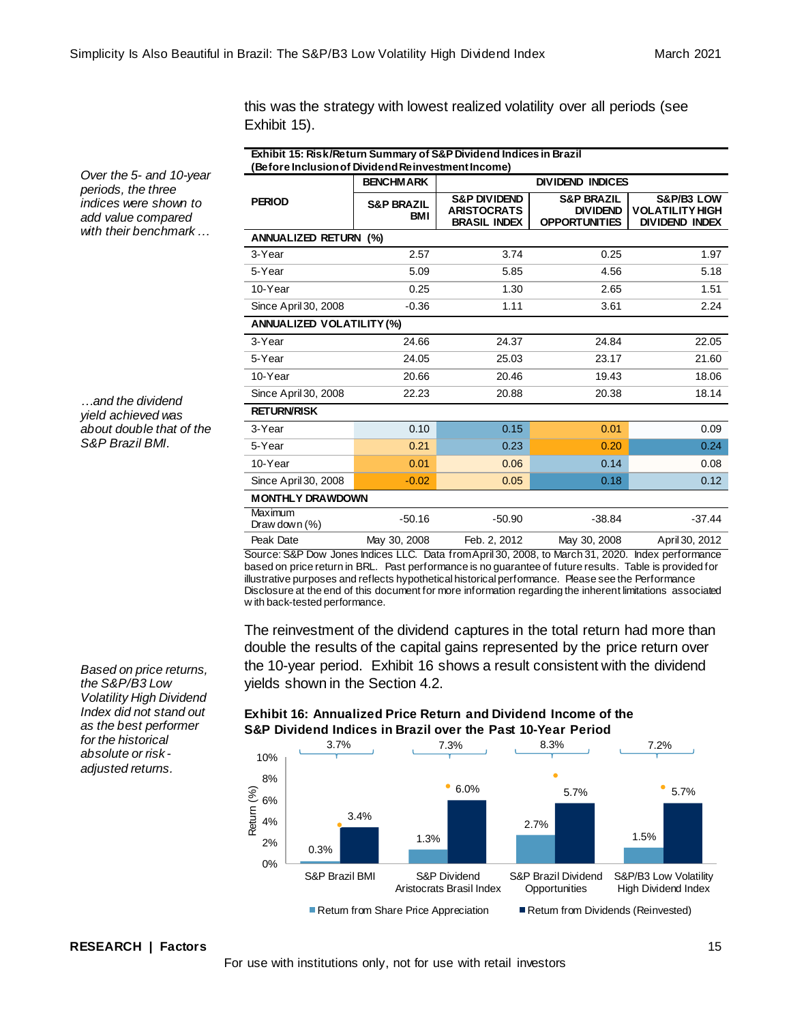this was the strategy with lowest realized volatility over all periods (see Exhibit 15).

| Exhibit 15: Risk/Return Summary of S&P Dividend Indices in Brazil<br>Before Inclusion of Dividend Reinvestment Income) |                                     |                                                                      |                                                                  |                                                               |
|------------------------------------------------------------------------------------------------------------------------|-------------------------------------|----------------------------------------------------------------------|------------------------------------------------------------------|---------------------------------------------------------------|
|                                                                                                                        | <b>BENCHMARK</b>                    | <b>DIVIDEND INDICES</b>                                              |                                                                  |                                                               |
| <b>PERIOD</b>                                                                                                          | <b>S&amp;P BRAZIL</b><br><b>BMI</b> | <b>S&amp;P DIVIDEND</b><br><b>ARISTOCRATS</b><br><b>BRASIL INDEX</b> | <b>S&amp;P BRAZIL</b><br><b>DIVIDEND</b><br><b>OPPORTUNITIES</b> | S&P/B3 LOW<br><b>VOLATILITY HIGH</b><br><b>DIVIDEND INDEX</b> |
| <b>ANNUALIZED RETURN (%)</b>                                                                                           |                                     |                                                                      |                                                                  |                                                               |
| 3-Year                                                                                                                 | 2.57                                | 3.74                                                                 | 0.25                                                             | 1.97                                                          |
| 5-Year                                                                                                                 | 5.09                                | 5.85                                                                 | 4.56                                                             | 5.18                                                          |
| 10-Year                                                                                                                | 0.25                                | 1.30                                                                 | 2.65                                                             | 1.51                                                          |
| Since April 30, 2008                                                                                                   | $-0.36$                             | 1.11                                                                 | 3.61                                                             | 2.24                                                          |
| <b>ANNUALIZED VOLATILITY (%)</b>                                                                                       |                                     |                                                                      |                                                                  |                                                               |
| 3-Year                                                                                                                 | 24.66                               | 24.37                                                                | 24.84                                                            | 22.05                                                         |
| 5-Year                                                                                                                 | 24.05                               | 25.03                                                                | 23.17                                                            | 21.60                                                         |
| 10-Year                                                                                                                | 20.66                               | 20.46                                                                | 19.43                                                            | 18.06                                                         |
| Since April 30, 2008                                                                                                   | 22.23                               | 20.88                                                                | 20.38                                                            | 18.14                                                         |
| <b>RETURN/RISK</b>                                                                                                     |                                     |                                                                      |                                                                  |                                                               |
| 3-Year                                                                                                                 | 0.10                                | 0.15                                                                 | 0.01                                                             | 0.09                                                          |
| 5-Year                                                                                                                 | 0.21                                | 0.23                                                                 | 0.20                                                             | 0.24                                                          |
| 10-Year                                                                                                                | 0.01                                | 0.06                                                                 | 0.14                                                             | 0.08                                                          |
| Since April 30, 2008                                                                                                   | $-0.02$                             | 0.05                                                                 | 0.18                                                             | 0.12                                                          |
| <b>MONTHLY DRAWDOWN</b>                                                                                                |                                     |                                                                      |                                                                  |                                                               |
| Maximum<br>Draw down $(\%)$                                                                                            | $-50.16$                            | $-50.90$                                                             | $-38.84$                                                         | $-37.44$                                                      |
| Peak Date                                                                                                              | May 30, 2008                        | Feb. 2, 2012                                                         | May 30, 2008                                                     | April 30, 2012                                                |

Source: S&P Dow Jones Indices LLC. Data from April 30, 2008, to March 31, 2020. Index performance based on price return in BRL. Past performance is no guarantee of future results. Table is provided for illustrative purposes and reflects hypothetical historical performance. Please see the Performance Disclosure at the end of this document for more information regarding the inherent limitations associated w ith back-tested performance.

The reinvestment of the dividend captures in the total return had more than double the results of the capital gains represented by the price return over the 10-year period. Exhibit 16 shows a result consistent with the dividend yields shown in the Section 4.2.

**Exhibit 16: Annualized Price Return and Dividend Income of the** 

![](_page_14_Figure_6.jpeg)

*Over the 5- and 10-year periods, the three indices were shown to add value compared with their benchmark…*

*…and the dividend yield achieved was about double that of the S&P Brazil BMI.*

*Based on price returns, the S&P/B3 Low Volatility High Dividend Index did not stand out as the best performer for the historical absolute or risk adjusted returns.*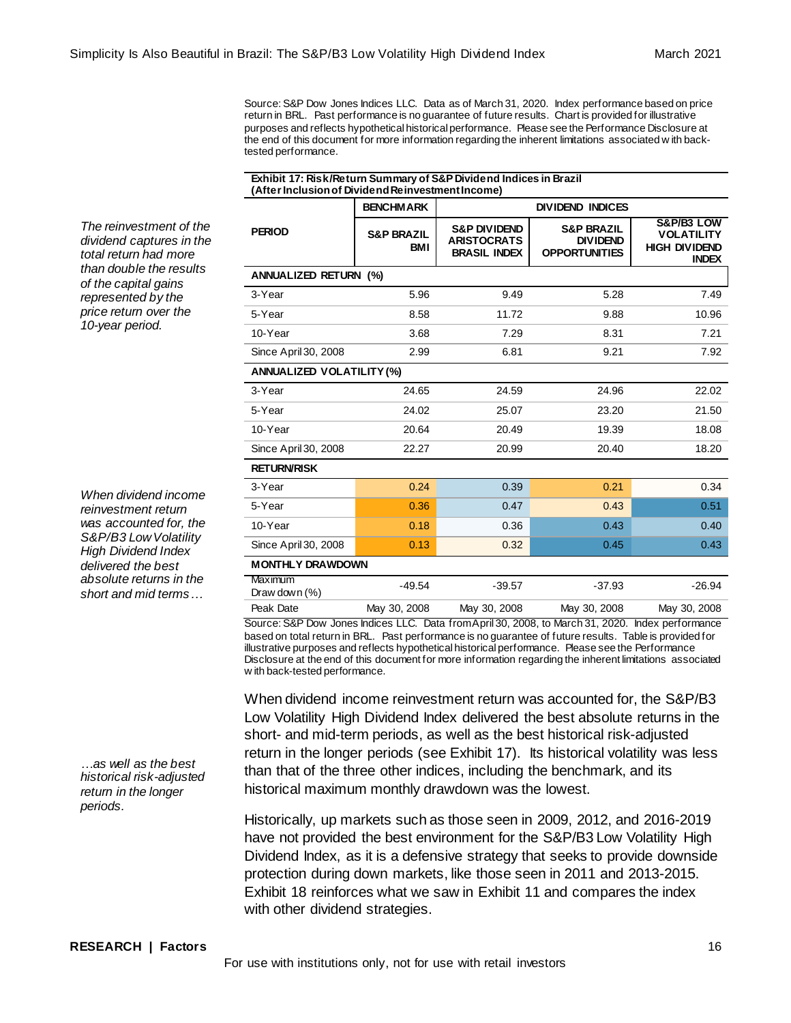Source: S&P Dow Jones Indices LLC. Data as of March 31, 2020. Index performance based on price return in BRL. Past performance is no guarantee of future results. Chart is provided for illustrative purposes and reflects hypothetical historical performance. Please see the Performance Disclosure at the end of this document for more information regarding the inherent limitations associated w ith backtested performance.

| Exhibit 17: Risk/Return Summary of S&P Dividend Indices in Brazil |  |
|-------------------------------------------------------------------|--|
| (After Inclusion of Dividend Reinvestment Income)                 |  |

*The reinvestment of the dividend captures in the total return had more than double the results of the capital gains represented by the price return over the 10-year period.*

*When dividend income reinvestment return was accounted for, the S&P/B3 Low Volatility High Dividend Index delivered the best absolute returns in the short and mid terms…*

*…as well as the best historical risk-adjusted return in the longer periods.*

| (After Inclusion of Dividend Reinvestment Income) |                                     |                                                                      |                                                                  |                                                                         |
|---------------------------------------------------|-------------------------------------|----------------------------------------------------------------------|------------------------------------------------------------------|-------------------------------------------------------------------------|
|                                                   | <b>BENCHMARK</b>                    |                                                                      | <b>DIVIDEND INDICES</b>                                          |                                                                         |
| <b>PERIOD</b>                                     | <b>S&amp;P BRAZIL</b><br><b>BMI</b> | <b>S&amp;P DIVIDEND</b><br><b>ARISTOCRATS</b><br><b>BRASIL INDEX</b> | <b>S&amp;P BRAZIL</b><br><b>DIVIDEND</b><br><b>OPPORTUNITIES</b> | S&P/B3 LOW<br><b>VOLATILITY</b><br><b>HIGH DIVIDEND</b><br><b>INDEX</b> |
| <b>ANNUALIZED RETURN (%)</b>                      |                                     |                                                                      |                                                                  |                                                                         |
| 3-Year                                            | 5.96                                | 9.49                                                                 | 5.28                                                             | 7.49                                                                    |
| 5-Year                                            | 8.58                                | 11.72                                                                | 9.88                                                             | 10.96                                                                   |
| 10-Year                                           | 3.68                                | 7.29                                                                 | 8.31                                                             | 7.21                                                                    |
| Since April 30, 2008                              | 2.99                                | 6.81                                                                 | 9.21                                                             | 7.92                                                                    |
| ANNUALIZED VOLATILITY (%)                         |                                     |                                                                      |                                                                  |                                                                         |
| 3-Year                                            | 24.65                               | 24.59                                                                | 24.96                                                            | 22.02                                                                   |
| 5-Year                                            | 24.02                               | 25.07                                                                | 23.20                                                            | 21.50                                                                   |
| 10-Year                                           | 20.64                               | 20.49                                                                | 19.39                                                            | 18.08                                                                   |
| Since April 30, 2008                              | 22.27                               | 20.99                                                                | 20.40                                                            | 18.20                                                                   |
| <b>RETURN/RISK</b>                                |                                     |                                                                      |                                                                  |                                                                         |
| 3-Year                                            | 0.24                                | 0.39                                                                 | 0.21                                                             | 0.34                                                                    |
| 5-Year                                            | 0.36                                | 0.47                                                                 | 0.43                                                             | 0.51                                                                    |
| 10-Year                                           | 0.18                                | 0.36                                                                 | 0.43                                                             | 0.40                                                                    |
| Since April 30, 2008                              | 0.13                                | 0.32                                                                 | 0.45                                                             | 0.43                                                                    |
| <b>MONTHLY DRAWDOWN</b>                           |                                     |                                                                      |                                                                  |                                                                         |
| Maximum<br>Draw down $(\%)$                       | $-49.54$                            | $-39.57$                                                             | $-37.93$                                                         | $-26.94$                                                                |
| Peak Date                                         | May 30, 2008                        | May 30, 2008                                                         | May 30, 2008                                                     | May 30, 2008                                                            |

Source: S&P Dow Jones Indices LLC. Data from April 30, 2008, to March 31, 2020. Index performance based on total return in BRL. Past performance is no guarantee of future results. Table is provided for illustrative purposes and reflects hypothetical historical performance. Please see the Performance Disclosure at the end of this document for more information regarding the inherent limitations associated w ith back-tested performance.

When dividend income reinvestment return was accounted for, the S&P/B3 Low Volatility High Dividend Index delivered the best absolute returns in the short- and mid-term periods, as well as the best historical risk-adjusted return in the longer periods (see Exhibit 17). Its historical volatility was less than that of the three other indices, including the benchmark, and its historical maximum monthly drawdown was the lowest.

Historically, up markets such as those seen in 2009, 2012, and 2016-2019 have not provided the best environment for the S&P/B3 Low Volatility High Dividend Index, as it is a defensive strategy that seeks to provide downside protection during down markets, like those seen in 2011 and 2013-2015. Exhibit 18 reinforces what we saw in Exhibit 11 and compares the index with other dividend strategies.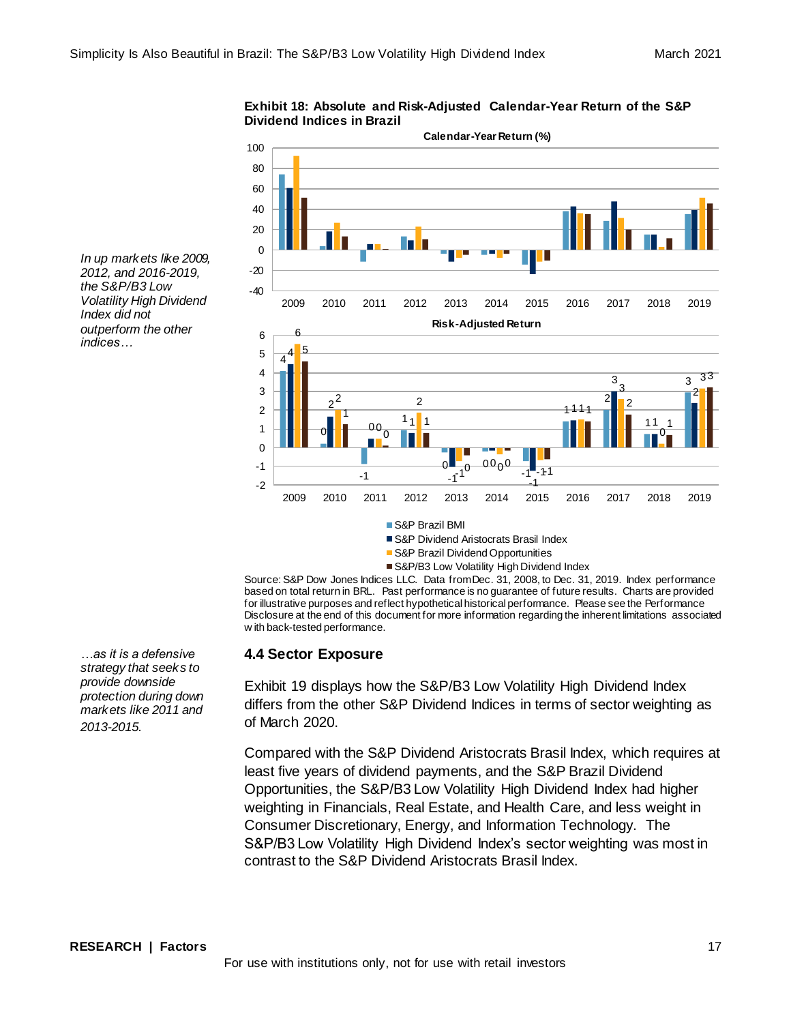![](_page_16_Figure_2.jpeg)

**Exhibit 18: Absolute and Risk-Adjusted Calendar-Year Return of the S&P Dividend Indices in Brazil**

S&P Dividend Aristocrats Brasil Index

- S&P Brazil Dividend Opportunities
- S&P/B3 Low Volatility High Dividend Index

Source: S&P Dow Jones Indices LLC. Data from Dec. 31, 2008, to Dec. 31, 2019. Index performance based on total return in BRL. Past performance is no guarantee of future results. Charts are provided for illustrative purposes and reflect hypothetical historical performance. Please see the Performance Disclosure at the end of this document for more information regarding the inherent limitations associated w ith back-tested performance.

#### **4.4 Sector Exposure**

Exhibit 19 displays how the S&P/B3 Low Volatility High Dividend Index differs from the other S&P Dividend Indices in terms of sector weighting as of March 2020.

Compared with the S&P Dividend Aristocrats Brasil Index, which requires at least five years of dividend payments, and the S&P Brazil Dividend Opportunities, the S&P/B3 Low Volatility High Dividend Index had higher weighting in Financials, Real Estate, and Health Care, and less weight in Consumer Discretionary, Energy, and Information Technology. The S&P/B3 Low Volatility High Dividend Index's sector weighting was most in contrast to the S&P Dividend Aristocrats Brasil Index.

*…as it is a defensive* 

*the S&P/B3 Low* 

*Index did not* 

*indices…*

*strategy that seeks to provide downside protection during down markets like 2011 and 2013-2015.*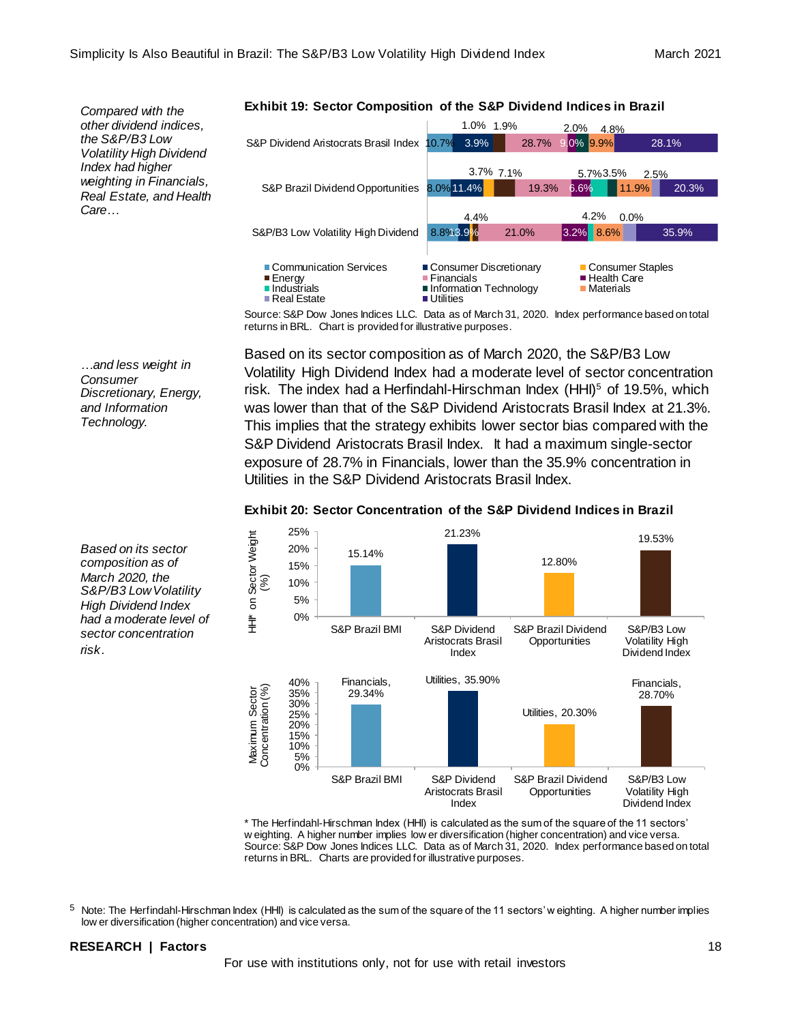*Compared with the other dividend indices, the S&P/B3 Low Volatility High Dividend Index had higher weighting in Financials, Real Estate, and Health Care…*

**Exhibit 19: Sector Composition of the S&P Dividend Indices in Brazil**

![](_page_17_Figure_5.jpeg)

Source: S&P Dow Jones Indices LLC. Data as of March 31, 2020. Index performance based on total returns in BRL. Chart is provided for illustrative purposes.

Based on its sector composition as of March 2020, the S&P/B3 Low Volatility High Dividend Index had a moderate level of sector concentration risk. The index had a Herfindahl-Hirschman Index  $(HHI)<sup>5</sup>$  of 19.5%, which was lower than that of the S&P Dividend Aristocrats Brasil Index at 21.3%. This implies that the strategy exhibits lower sector bias compared with the S&P Dividend Aristocrats Brasil Index. It had a maximum single-sector exposure of 28.7% in Financials, lower than the 35.9% concentration in Utilities in the S&P Dividend Aristocrats Brasil Index.

![](_page_17_Figure_8.jpeg)

#### **Exhibit 20: Sector Concentration of the S&P Dividend Indices in Brazil**

\* The Herfindahl-Hirschman Index (HHI) is calculated as the sum of the square of the 11 sectors' w eighting. A higher number implies low er diversification (higher concentration) and vice versa. Source: S&P Dow Jones Indices LLC. Data as of March 31, 2020. Index performance based on total returns in BRL. Charts are provided for illustrative purposes.

 $5$  Note: The Herfindahl-Hirschman Index (HHI) is calculated as the sum of the square of the 11 sectors' w eighting. A higher number implies low er diversification (higher concentration) and vice versa.

#### **RESEARCH | Factors** 18

For use with institutions only, not for use with retail investors

*…and less weight in Consumer Discretionary, Energy, and Information Technology.*

*Based on its sector composition as of March 2020, the S&P/B3 Low Volatility High Dividend Index had a moderate level of sector concentration risk.*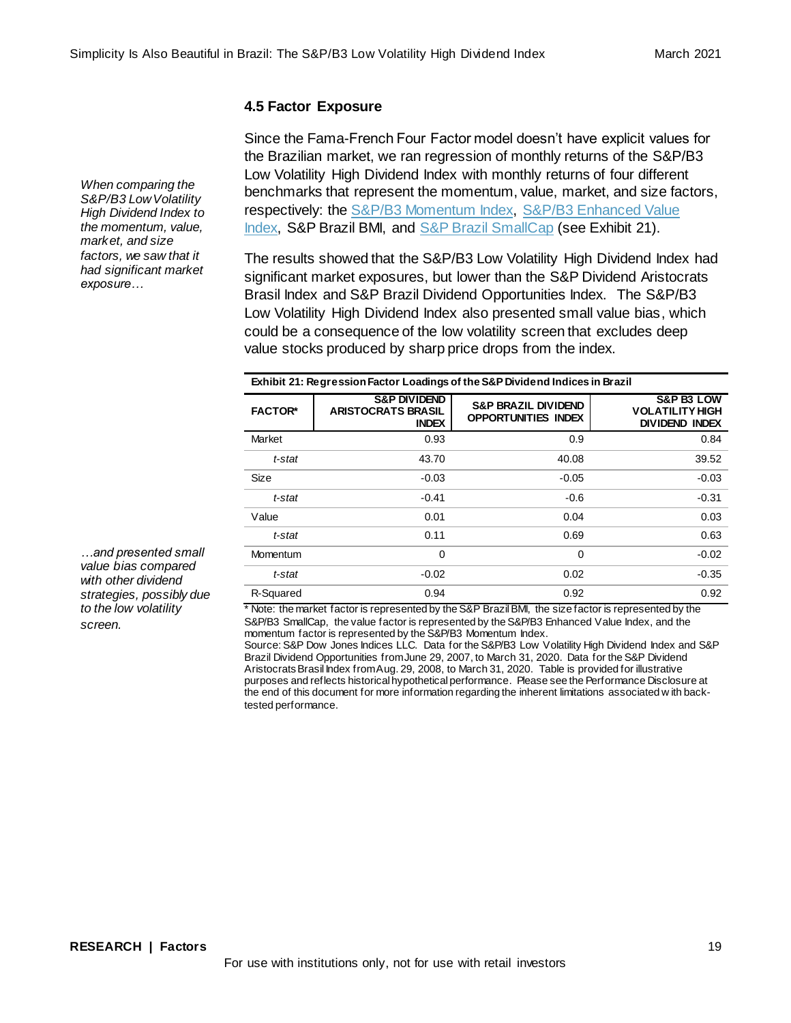# **4.5 Factor Exposure**

Since the Fama-French Four Factor model doesn't have explicit values for the Brazilian market, we ran regression of monthly returns of the S&P/B3 Low Volatility High Dividend Index with monthly returns of four different benchmarks that represent the momentum, value, market, and size factors, respectively: the [S&P/B3 Momentum Index,](https://www.spglobal.com/spdji/en/indices/strategy/sp-b3-momentum-index/#overview) [S&P/B3 Enhanced Value](https://www.spglobal.com/spdji/en/indices/strategy/sp-b3-enhanced-value-index/)  Index, S&P Brazil BMI, and [S&P Brazil SmallCap](https://www.spglobal.com/spdji/en/indices/equity/sp-brazil-smallcap/#overview) (see Exhibit 21).

The results showed that the S&P/B3 Low Volatility High Dividend Index had significant market exposures, but lower than the S&P Dividend Aristocrats Brasil Index and S&P Brazil Dividend Opportunities Index. The S&P/B3 Low Volatility High Dividend Index also presented small value bias, which could be a consequence of the low volatility screen that excludes deep value stocks produced by sharp price drops from the index.

| Exhibit 21: Regression Factor Loadings of the S&P Dividend Indices in Brazil |                                                                      |                                                              |                                                                          |  |
|------------------------------------------------------------------------------|----------------------------------------------------------------------|--------------------------------------------------------------|--------------------------------------------------------------------------|--|
| <b>FACTOR*</b>                                                               | <b>S&amp;P DIVIDEND</b><br><b>ARISTOCRATS BRASIL</b><br><b>INDEX</b> | <b>S&amp;P BRAZIL DIVIDEND</b><br><b>OPPORTUNITIES INDEX</b> | <b>S&amp;P B3 LOW</b><br><b>VOLATILITY HIGH</b><br><b>DIVIDEND INDEX</b> |  |
| Market                                                                       | 0.93                                                                 | 0.9                                                          | 0.84                                                                     |  |
| t-stat                                                                       | 43.70                                                                | 40.08                                                        | 39.52                                                                    |  |
| Size                                                                         | $-0.03$                                                              | $-0.05$                                                      | $-0.03$                                                                  |  |
| t-stat                                                                       | $-0.41$                                                              | $-0.6$                                                       | $-0.31$                                                                  |  |
| Value                                                                        | 0.01                                                                 | 0.04                                                         | 0.03                                                                     |  |
| t-stat                                                                       | 0.11                                                                 | 0.69                                                         | 0.63                                                                     |  |
| Momentum                                                                     | 0                                                                    | 0                                                            | $-0.02$                                                                  |  |
| t-stat                                                                       | $-0.02$                                                              | 0.02                                                         | $-0.35$                                                                  |  |
| R-Squared                                                                    | 0.94                                                                 | 0.92                                                         | 0.92                                                                     |  |

\* Note: the market factor is represented by the S&P Brazil BMI, the size factor is represented by the S&P/B3 SmallCap, the value factor is represented by the S&P/B3 Enhanced Value Index, and the momentum factor is represented by the S&P/B3 Momentum Index.

Source: S&P Dow Jones Indices LLC. Data for the S&P/B3 Low Volatility High Dividend Index and S&P Brazil Dividend Opportunities from June 29, 2007, to March 31, 2020. Data for the S&P Dividend Aristocrats Brasil Index from Aug. 29, 2008, to March 31, 2020. Table is provided for illustrative purposes and reflects historical hypothetical performance. Please see the Performance Disclosure at the end of this document for more information regarding the inherent limitations associated w ith backtested performance.

*When comparing the S&P/B3 Low Volatility High Dividend Index to [the momentum, value,](https://www.spglobal.com/spdji/en/indices/strategy/sp-b3-enhanced-value-index/)  market, and size factors, we saw that it had significant market exposure…*

*…and presented small value bias compared with other dividend strategies, possibly due to the low volatility screen.*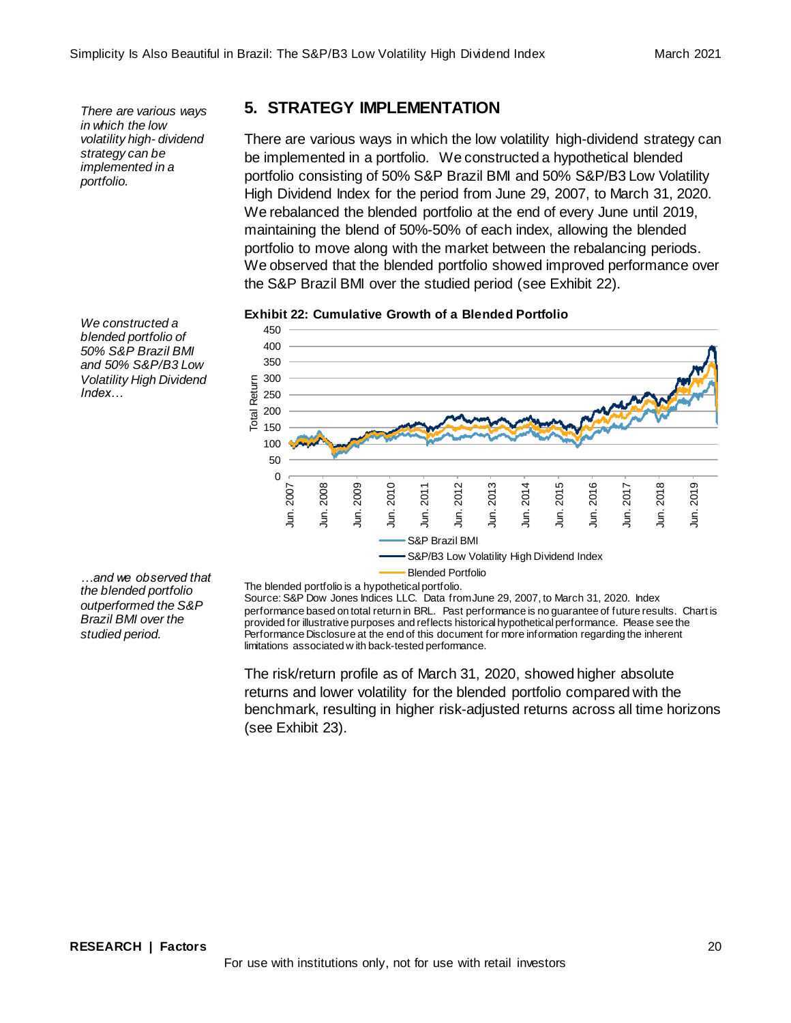*There are various ways in which the low volatility high- dividend strategy can be implemented in a portfolio.*

# **5. STRATEGY IMPLEMENTATION**

There are various ways in which the low volatility high-dividend strategy can be implemented in a portfolio. We constructed a hypothetical blended portfolio consisting of 50% S&P Brazil BMI and 50% S&P/B3 Low Volatility High Dividend Index for the period from June 29, 2007, to March 31, 2020. We rebalanced the blended portfolio at the end of every June until 2019, maintaining the blend of 50%-50% of each index, allowing the blended portfolio to move along with the market between the rebalancing periods. We observed that the blended portfolio showed improved performance over the S&P Brazil BMI over the studied period (see Exhibit 22).

**Exhibit 22: Cumulative Growth of a Blended Portfolio**

![](_page_19_Figure_6.jpeg)

*We constructed a blended portfolio of 50% S&P Brazil BMI and 50% S&P/B3 Low Volatility High Dividend Index…* 

*…and we observed that the blended portfolio outperformed the S&P Brazil BMI over the studied period.* 

Blended Portfolio

The blended portfolio is a hypothetical portfolio. Source: S&P Dow Jones Indices LLC. Data from June 29, 2007, to March 31, 2020. Index performance based on total return in BRL. Past performance is no guarantee of future results. Chart is provided for illustrative purposes and reflects historical hypothetical performance. Please see the Performance Disclosure at the end of this document for more information regarding the inherent limitations associated w ith back-tested performance.

The risk/return profile as of March 31, 2020, showed higher absolute returns and lower volatility for the blended portfolio compared with the benchmark, resulting in higher risk-adjusted returns across all time horizons (see Exhibit 23).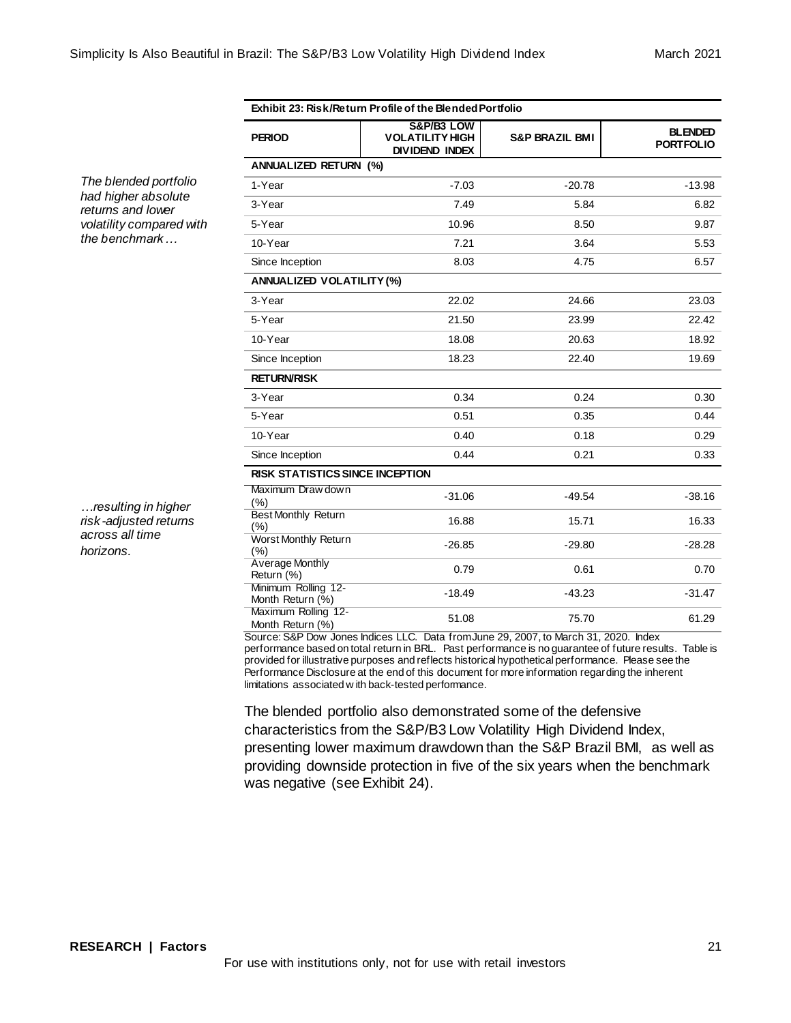| Exhibit 23: Risk/Return Profile of the Blended Portfolio |                                                               |                           |                                    |  |
|----------------------------------------------------------|---------------------------------------------------------------|---------------------------|------------------------------------|--|
| <b>PERIOD</b>                                            | S&P/B3 LOW<br><b>VOLATILITY HIGH</b><br><b>DIVIDEND INDEX</b> | <b>S&amp;P BRAZIL BMI</b> | <b>BLENDED</b><br><b>PORTFOLIO</b> |  |
| <b>ANNUALIZED RETURN (%)</b>                             |                                                               |                           |                                    |  |
| 1-Year                                                   | $-7.03$                                                       | $-20.78$                  | $-13.98$                           |  |
| 3-Year                                                   | 7.49                                                          | 5.84                      | 6.82                               |  |
| 5-Year                                                   | 10.96                                                         | 8.50                      | 9.87                               |  |
| 10-Year                                                  | 7.21                                                          | 3.64                      | 5.53                               |  |
| Since Inception                                          | 8.03                                                          | 4.75                      | 6.57                               |  |
| ANNUALIZED VOLATILITY (%)                                |                                                               |                           |                                    |  |
| 3-Year                                                   | 22.02                                                         | 24.66                     | 23.03                              |  |
| 5-Year                                                   | 21.50                                                         | 23.99                     | 22.42                              |  |
| 10-Year                                                  | 18.08                                                         | 20.63                     | 18.92                              |  |
| Since Inception                                          | 18.23                                                         | 22.40                     | 19.69                              |  |
| <b>RETURN/RISK</b>                                       |                                                               |                           |                                    |  |
| 3-Year                                                   | 0.34                                                          | 0.24                      | 0.30                               |  |
| 5-Year                                                   | 0.51                                                          | 0.35                      | 0.44                               |  |
| 10-Year                                                  | 0.40                                                          | 0.18                      | 0.29                               |  |
| Since Inception                                          | 0.44                                                          | 0.21                      | 0.33                               |  |
| RISK STATISTICS SINCE INCEPTION                          |                                                               |                           |                                    |  |
| Maximum Draw down<br>(% )                                | $-31.06$                                                      | $-49.54$                  | $-38.16$                           |  |
| <b>Best Monthly Return</b><br>(%)                        | 16.88                                                         | 15.71                     | 16.33                              |  |
| <b>Worst Monthly Return</b><br>(%)                       | $-26.85$                                                      | $-29.80$                  | $-28.28$                           |  |
| <b>Average Monthly</b><br>Return (%)                     | 0.79                                                          | 0.61                      | 0.70                               |  |
| Minimum Rolling 12-<br>Month Return (%)                  | $-18.49$                                                      | $-43.23$                  | $-31.47$                           |  |
| Maximum Rolling 12-<br>Month Return (%)                  | 51.08                                                         | 75.70                     | 61.29                              |  |

Source: S&P Dow Jones Indices LLC. Data from June 29, 2007, to March 31, 2020. Index performance based on total return in BRL. Past performance is no guarantee of future results. Table is provided for illustrative purposes and reflects historical hypothetical performance. Please see the Performance Disclosure at the end of this document for more information regarding the inherent limitations associated w ith back-tested performance.

The blended portfolio also demonstrated some of the defensive characteristics from the S&P/B3 Low Volatility High Dividend Index, presenting lower maximum drawdown than the S&P Brazil BMI, as well as providing downside protection in five of the six years when the benchmark was negative (see Exhibit 24).

*The blended portfolio had higher absolute returns and lower volatility compared with the benchmark…*

*…resulting in higher risk-adjusted returns across all time horizons.*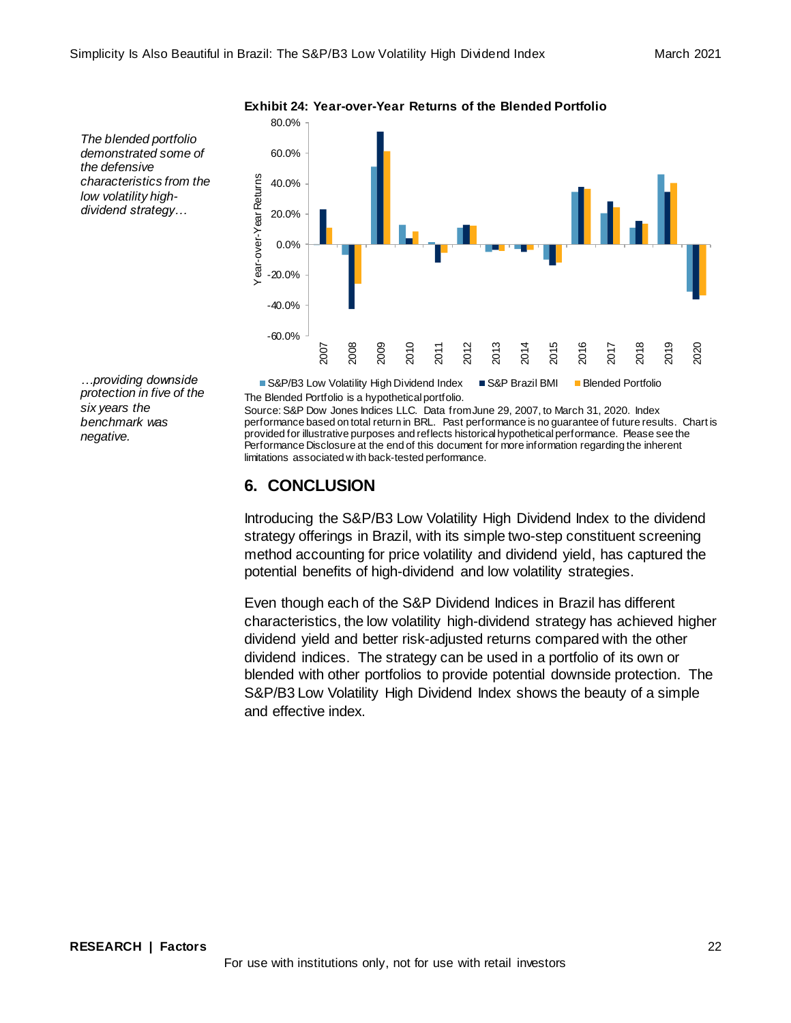80.0%

*The blended portfolio demonstrated some of the defensive characteristics from the low volatility highdividend strategy…*

60.0% Year-over-Year Returns Year-over-Year Returns 40.0% 20.0% 0.0% -20.0% -40.0% -60.0% 2016 2007 2008 2009 2017 2010 2012 2013 2019 2020  $\overline{5}$  $\overline{5}$  $\overline{5}$  $\tilde{e}$ 

**Exhibit 24: Year-over-Year Returns of the Blended Portfolio**

*…providing downside protection in five of the six years the benchmark was negative.* 

The Blended Portfolio is a hypothetical portfolio. S&P/B3 Low Volatility High Dividend Index S&P Brazil BMI Blended Portfolio

Source: S&P Dow Jones Indices LLC. Data from June 29, 2007, to March 31, 2020. Index performance based on total return in BRL. Past performance is no guarantee of future results. Chart is provided for illustrative purposes and reflects historical hypothetical performance. Please see the Performance Disclosure at the end of this document for more information regarding the inherent limitations associated w ith back-tested performance.

# **6. CONCLUSION**

Introducing the S&P/B3 Low Volatility High Dividend Index to the dividend strategy offerings in Brazil, with its simple two-step constituent screening method accounting for price volatility and dividend yield, has captured the potential benefits of high-dividend and low volatility strategies.

Even though each of the S&P Dividend Indices in Brazil has different characteristics, the low volatility high-dividend strategy has achieved higher dividend yield and better risk-adjusted returns compared with the other dividend indices. The strategy can be used in a portfolio of its own or blended with other portfolios to provide potential downside protection. The S&P/B3 Low Volatility High Dividend Index shows the beauty of a simple and effective index.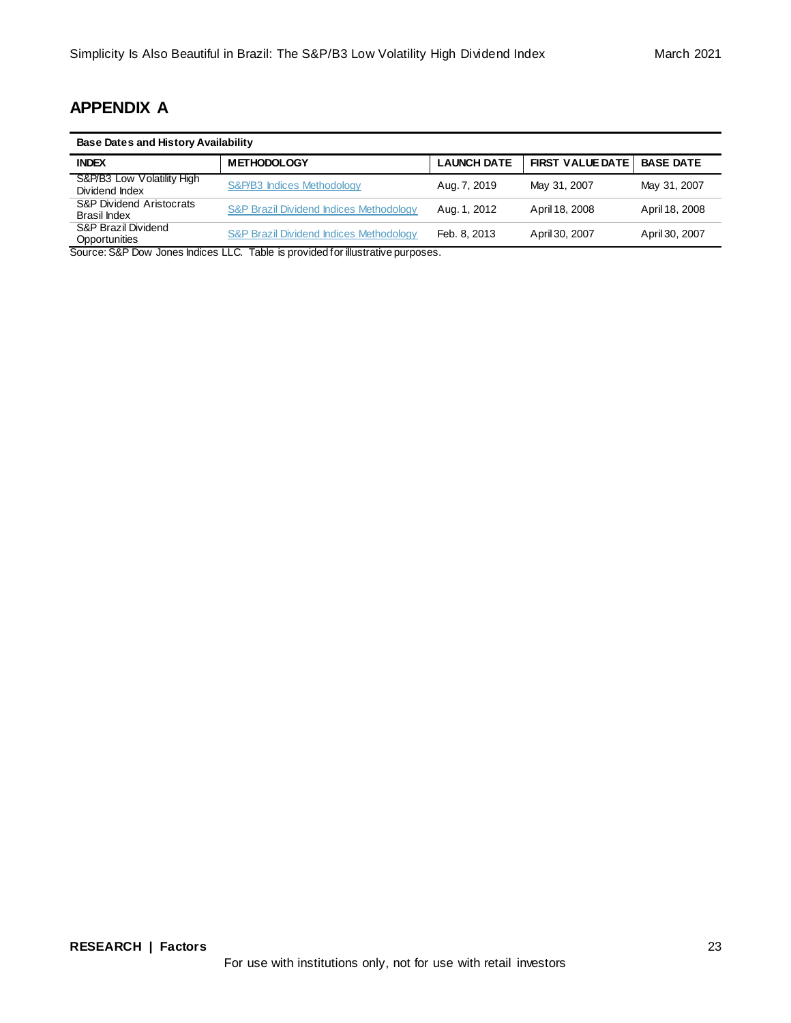# **APPENDIX A**

| <b>Base Dates and History Availability</b>                                    |                                                    |                    |                         |                  |
|-------------------------------------------------------------------------------|----------------------------------------------------|--------------------|-------------------------|------------------|
| <b>INDEX</b>                                                                  | <b>METHODOLOGY</b>                                 | <b>LAUNCH DATE</b> | <b>FIRST VALUE DATE</b> | <b>BASE DATE</b> |
| S&P/B3 Low Volatility High<br>Dividend Index                                  | S&P/B3 Indices Methodology                         | Aug. 7, 2019       | May 31, 2007            | May 31, 2007     |
| <b>S&amp;P Dividend Aristocrats</b><br>Brasil Index                           | <b>S&amp;P Brazil Dividend Indices Methodology</b> | Aug. 1, 2012       | April 18, 2008          | April 18, 2008   |
| S&P Brazil Dividend<br>Opportunities<br>$\sim$ $\sim$<br>$\sim$ $\sim$ $\sim$ | <b>S&amp;P Brazil Dividend Indices Methodology</b> | Feb. 8, 2013       | April 30, 2007          | April 30, 2007   |

Source: S&P Dow Jones Indices LLC. Table is provided for illustrative purposes.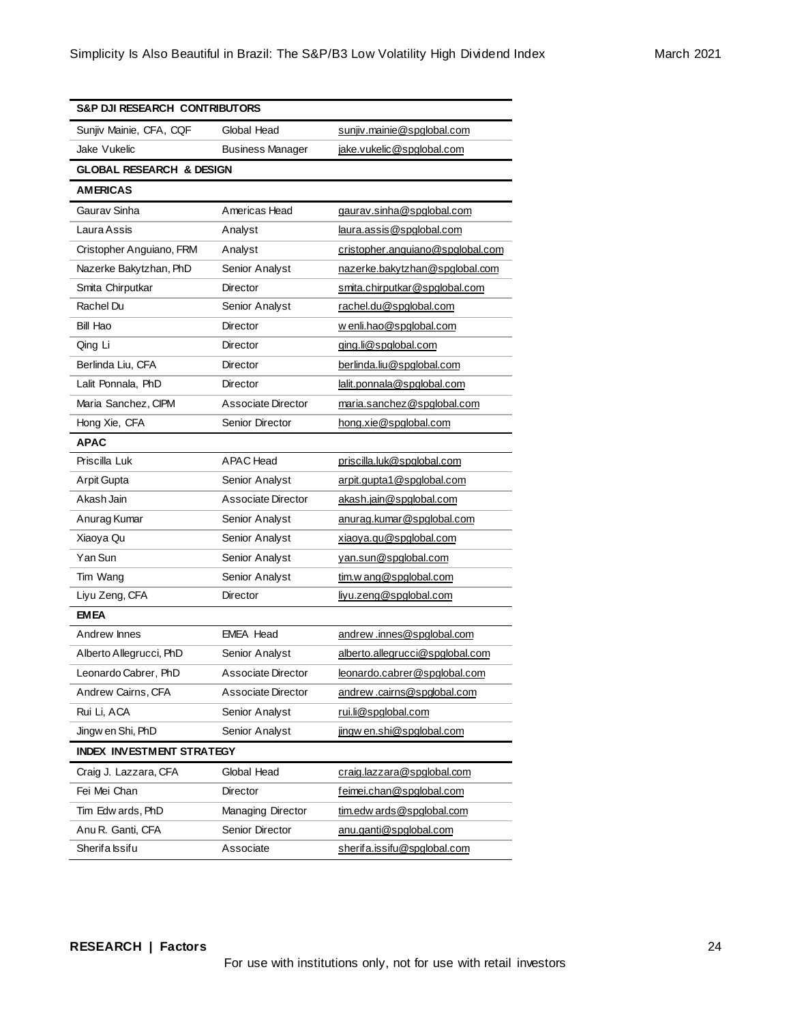| <b>S&amp;P DJI RESEARCH CONTRIBUTORS</b> |                           |                                  |  |
|------------------------------------------|---------------------------|----------------------------------|--|
| Sunjiv Mainie, CFA, CQF                  | Global Head               | sunjiv.mainie@spglobal.com       |  |
| Jake Vukelic                             | <b>Business Manager</b>   | jake.vukelic@spglobal.com        |  |
| <b>GLOBAL RESEARCH &amp; DESIGN</b>      |                           |                                  |  |
| <b>AMERICAS</b>                          |                           |                                  |  |
| Gaurav Sinha                             | Americas Head             | gaurav.sinha@spglobal.com        |  |
| Laura Assis                              | Analyst                   | laura.assis@spglobal.com         |  |
| Cristopher Anguiano, FRM                 | Analyst                   | cristopher.anguiano@spglobal.com |  |
| Nazerke Bakytzhan, PhD                   | Senior Analyst            | nazerke.bakytzhan@spglobal.com   |  |
| Smita Chirputkar                         | <b>Director</b>           | smita.chirputkar@spglobal.com    |  |
| Rachel Du                                | Senior Analyst            | rachel.du@spglobal.com           |  |
| <b>Bill Hao</b>                          | Director                  | w enli.hao@spglobal.com          |  |
| Qing Li                                  | Director                  | ging.li@spglobal.com             |  |
| Berlinda Liu, CFA                        | Director                  | berlinda.liu@spglobal.com        |  |
| Lalit Ponnala, PhD                       | Director                  | lalit.ponnala@spglobal.com       |  |
| Maria Sanchez, CIPM                      | Associate Director        | maria.sanchez@spglobal.com       |  |
| Hong Xie, CFA                            | Senior Director           | hong.xie@spglobal.com            |  |
| <b>APAC</b>                              |                           |                                  |  |
| Priscilla Luk                            | APAC Head                 | priscilla.luk@spglobal.com       |  |
| Arpit Gupta                              | Senior Analyst            | arpit.gupta1@spglobal.com        |  |
| Akash Jain                               | <b>Associate Director</b> | akash.jain@spglobal.com          |  |
| Anurag Kumar                             | Senior Analyst            | anurag.kumar@spglobal.com        |  |
| Xiaoya Qu                                | Senior Analyst            | xiaoya.qu@spglobal.com           |  |
| Yan Sun                                  | Senior Analyst            | yan.sun@spglobal.com             |  |
| Tim Wang                                 | Senior Analyst            | tim.w ang@spglobal.com           |  |
| Liyu Zeng, CFA                           | Director                  | liyu.zeng@spglobal.com           |  |
| <b>EMEA</b>                              |                           |                                  |  |
| Andrew Innes                             | <b>EMEA Head</b>          | andrew.innes@spglobal.com        |  |
| Alberto Allegrucci, PhD                  | Senior Analyst            | alberto.allegrucci@spglobal.com  |  |
| Leonardo Cabrer, PhD                     | <b>Associate Director</b> | leonardo.cabrer@spglobal.com     |  |
| Andrew Cairns, CFA                       | Associate Director        | andrew.cairns@spglobal.com       |  |
| Rui Li, ACA                              | Senior Analyst            | rui.li@spglobal.com              |  |
| Jingw en Shi, PhD                        | Senior Analyst            | jingw en.shi@spglobal.com        |  |
| <b>INDEX INVESTMENT STRATEGY</b>         |                           |                                  |  |
| Craig J. Lazzara, CFA                    | Global Head               | craig.lazzara@spglobal.com       |  |
| Fei Mei Chan                             | Director                  | feimei.chan@spglobal.com         |  |
| Tim Edw ards, PhD                        | Managing Director         | tim.edw ards@spqlobal.com        |  |
| Anu R. Ganti, CFA                        | Senior Director           | anu.ganti@spglobal.com           |  |
| Sherifa Issifu                           | Associate                 | sherifa.issifu@spglobal.com      |  |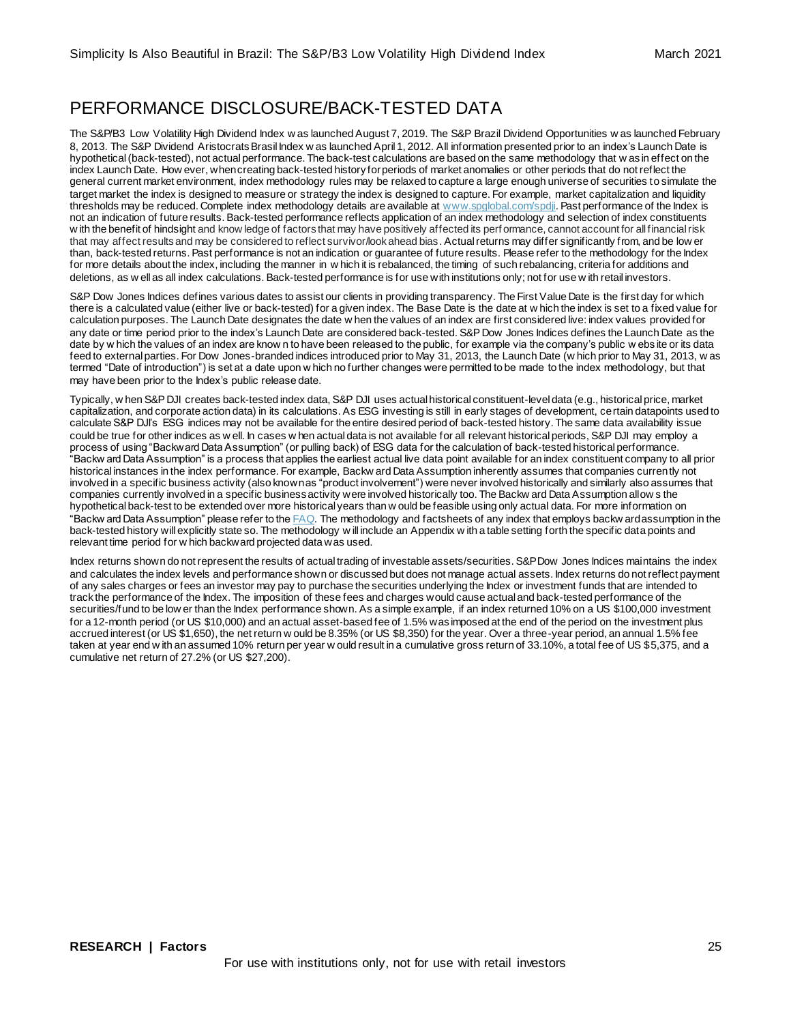# PERFORMANCE DISCLOSURE/BACK-TESTED DATA

The S&P/B3 Low Volatility High Dividend Index w as launched August 7, 2019. The S&P Brazil Dividend Opportunities w as launched February 8, 2013. The S&P Dividend Aristocrats Brasil Index w as launched April 1, 2012. All information presented prior to an index's Launch Date is hypothetical (back-tested), not actual performance. The back-test calculations are based on the same methodology that w as in effect on the index Launch Date. How ever, when creating back-tested history for periods of market anomalies or other periods that do not reflect the general current market environment, index methodology rules may be relaxed to capture a large enough universe of securities to simulate the target market the index is designed to measure or strategy the index is designed to capture. For example, market capitalization and liquidity thresholds may be reduced. Complete index methodology details are available a[t www.spglobal.com/spdji](http://www.spglobal.com/spdji). Past performance of the Index is not an indication of future results. Back-tested performance reflects application of an index methodology and selection of index constituents w ith the benefit of hindsight and know ledge of factors that may have positively affected its perf ormance, cannot account for all financial risk that may affect results and may be considered to reflect survivor/look ahead bias. Actual returns may differ significantly from, and be low er than, back-tested returns. Past performance is not an indication or guarantee of future results. Please refer to the methodology for the Index for more details about the index, including the manner in w hich it is rebalanced, the timing of such rebalancing, criteria for additions and deletions, as w ell as all index calculations. Back-tested performance is for use with institutions only; not for use w ith retail investors.

S&P Dow Jones Indices defines various dates to assist our clients in providing transparency. The First Value Date is the first day for which there is a calculated value (either live or back-tested) for a given index. The Base Date is the date at w hich the index is set to a fixed value for calculation purposes. The Launch Date designates the date w hen the values of an index are first considered live: index values provided for any date or time period prior to the index's Launch Date are considered back-tested. S&P Dow Jones Indices defines the Launch Date as the date by w hich the values of an index are know n to have been released to the public, for example via the company's public w ebs ite or its data feed to external parties. For Dow Jones-branded indices introduced prior to May 31, 2013, the Launch Date (w hich prior to May 31, 2013, w as termed "Date of introduction") is set at a date upon w hich no further changes were permitted to be made to the index methodology, but that may have been prior to the Index's public release date.

Typically, w hen S&P DJI creates back-tested index data, S&P DJI uses actual historical constituent-level data (e.g., historical price, market capitalization, and corporate action data) in its calculations. As ESG investing is still in early stages of development, certain datapoints used to calculate S&P DJI's ESG indices may not be available for the entire desired period of back-tested history. The same data availability issue could be true for other indices as w ell. In cases w hen actual data is not available for all relevant historical periods, S&P DJI may employ a process of using "Backward Data Assumption" (or pulling back) of ESG data for the calculation of back-tested historical performance. "Backw ard Data Assumption" is a process that applies the earliest actual live data point available for an index constituent company to all prior historical instances in the index performance. For example, Backw ard Data Assumption inherently assumes that companies currently not involved in a specific business activity (also known as "product involvement") were never involved historically and similarly also assumes that companies currently involved in a specific business activity were involved historically too. The Backw ard Data Assumption allow s the hypothetical back-test to be extended over more historical years than w ould be feasible using only actual data. For more information on "Backw ard Data Assumption" please refer to th[e FAQ.](https://www.spglobal.com/spdji/en/education/article/faq-esg-back-testing-backward-data-assumption-overview/) The methodology and factsheets of any index that employs backw ard assumption in the back-tested history will explicitly state so. The methodology w ill include an Appendix w ith a table setting forth the specific data points and relevant time period for w hich backward projected data was used.

Index returns shown do not represent the results of actual trading of investable assets/securities. S&P Dow Jones Indices maintains the index and calculates the index levels and performance shown or discussed but does not manage actual assets. Index returns do not reflect payment of any sales charges or fees an investor may pay to purchase the securities underlying the Index or investment funds that are intended to track the performance of the Index. The imposition of these fees and charges would cause actual and back-tested performance of the securities/fund to be low er than the Index performance shown. As a simple example, if an index returned 10% on a US \$100,000 investment for a 12-month period (or US \$10,000) and an actual asset-based fee of 1.5% was imposed at the end of the period on the investment plus accrued interest (or US \$1,650), the net return w ould be 8.35% (or US \$8,350) for the year. Over a three-year period, an annual 1.5% fee taken at year end w ith an assumed 10% return per year w ould result in a cumulative gross return of 33.10%, a total fee of US \$5,375, and a cumulative net return of 27.2% (or US \$27,200).